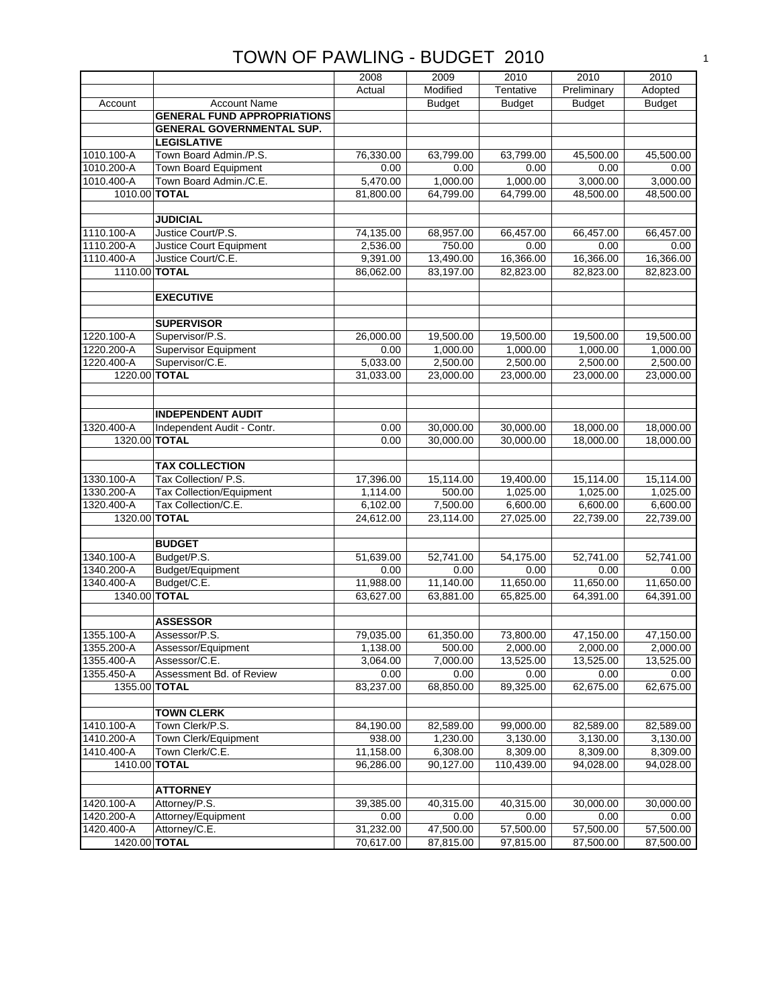|               |                                    | 2008      | 2009                  | 2010          | 2010          | 2010                  |
|---------------|------------------------------------|-----------|-----------------------|---------------|---------------|-----------------------|
|               |                                    | Actual    | Modified              | Tentative     | Preliminary   | Adopted               |
| Account       | <b>Account Name</b>                |           | <b>Budget</b>         | <b>Budget</b> | <b>Budget</b> | <b>Budget</b>         |
|               | <b>GENERAL FUND APPROPRIATIONS</b> |           |                       |               |               |                       |
|               | <b>GENERAL GOVERNMENTAL SUP.</b>   |           |                       |               |               |                       |
|               | <b>LEGISLATIVE</b>                 |           |                       |               |               |                       |
| 1010.100-A    | Town Board Admin./P.S.             | 76,330.00 | 63,799.00             | 63,799.00     | 45,500.00     | 45,500.00             |
| 1010.200-A    | Town Board Equipment               | 0.00      | 0.00                  | 0.00          | 0.00          | 0.00                  |
| 1010.400-A    | Town Board Admin./C.E.             | 5,470.00  | 1,000.00              | 1,000.00      | 3,000.00      | 3,000.00              |
|               | 1010.00 TOTAL                      | 81,800.00 | 64,799.00             | 64,799.00     | 48,500.00     | 48,500.00             |
|               |                                    |           |                       |               |               |                       |
|               | <b>JUDICIAL</b>                    |           |                       |               |               |                       |
| 1110.100-A    | Justice Court/P.S.                 | 74,135.00 | 68,957.00             | 66,457.00     | 66,457.00     | 66.457.00             |
| 1110.200-A    | Justice Court Equipment            | 2,536.00  | 750.00                | 0.00          | 0.00          | 0.00                  |
| 1110.400-A    | Justice Court/C.E.                 | 9,391.00  | 13,490.00             | 16,366.00     | 16,366.00     | 16,366.00             |
|               |                                    |           |                       |               |               |                       |
| 1110.00 TOTAL |                                    | 86,062.00 | 83,197.00             | 82,823.00     | 82,823.00     | 82,823.00             |
|               |                                    |           |                       |               |               |                       |
|               | <b>EXECUTIVE</b>                   |           |                       |               |               |                       |
|               |                                    |           |                       |               |               |                       |
|               | <b>SUPERVISOR</b>                  |           |                       |               |               |                       |
| 1220.100-A    | Supervisor/P.S.                    | 26,000.00 | 19,500.00<br>1,000.00 | 19,500.00     | 19,500.00     | 19,500.00<br>1,000.00 |
| 1220.200-A    | <b>Supervisor Equipment</b>        | 0.00      |                       | 1,000.00      | 1,000.00      |                       |
| 1220.400-A    | Supervisor/C.E.                    | 5,033.00  | 2,500.00              | 2,500.00      | 2,500.00      | 2,500.00              |
| 1220.00 TOTAL |                                    | 31,033.00 | 23,000.00             | 23,000.00     | 23,000.00     | 23,000.00             |
|               |                                    |           |                       |               |               |                       |
|               |                                    |           |                       |               |               |                       |
|               | <b>INDEPENDENT AUDIT</b>           |           |                       |               |               |                       |
| 1320.400-A    | Independent Audit - Contr.         | 0.00      | 30,000.00             | 30,000.00     | 18,000.00     | 18,000.00             |
| 1320.00 TOTAL |                                    | 0.00      | 30,000.00             | 30,000.00     | 18,000.00     | 18,000.00             |
|               |                                    |           |                       |               |               |                       |
|               | <b>TAX COLLECTION</b>              |           |                       |               |               |                       |
| 1330.100-A    | Tax Collection/ P.S.               | 17,396.00 | 15,114.00             | 19,400.00     | 15,114.00     | 15,114.00             |
| 1330.200-A    | <b>Tax Collection/Equipment</b>    | 1,114.00  | 500.00                | 1,025.00      | 1,025.00      | 1,025.00              |
| 1320.400-A    | Tax Collection/C.E.                | 6,102.00  | 7,500.00              | 6,600.00      | 6,600.00      | 6,600.00              |
| 1320.00 TOTAL |                                    | 24,612.00 | 23,114.00             | 27,025.00     | 22,739.00     | 22,739.00             |
|               |                                    |           |                       |               |               |                       |
|               | <b>BUDGET</b>                      |           |                       |               |               |                       |
| 1340.100-A    | Budget/P.S.                        | 51,639.00 | 52,741.00             | 54,175.00     | 52,741.00     | 52,741.00             |
| 1340.200-A    | Budget/Equipment                   | 0.00      | 0.00                  | 0.00          | 0.00          | 0.00                  |
| 340.400-A     | Budget/C.E.                        | 11,988.00 | 11,140.00             | 11,650.00     | 11,650.00     | 11,650.00             |
| 1340.00 TOTAL |                                    | 63,627.00 | 63,881.00             | 65,825.00     | 64,391.00     | 64,391.00             |
|               |                                    |           |                       |               |               |                       |
|               | <b>ASSESSOR</b>                    |           |                       |               |               |                       |
| 1355.100-A    | Assessor/P.S.                      | 79,035.00 | 61,350.00             | 73,800.00     | 47,150.00     | 47,150.00             |
| 1355.200-A    | Assessor/Equipment                 | 1,138.00  | 500.00                | 2,000.00      | 2,000.00      | 2,000.00              |
| 1355.400-A    | Assessor/C.E.                      | 3,064.00  | 7,000.00              | 13,525.00     | 13,525.00     | 13,525.00             |
| 1355.450-A    | Assessment Bd. of Review           | 0.00      | 0.00                  | 0.00          | 0.00          | 0.00                  |
|               | 1355.00 TOTAL                      | 83,237.00 | 68,850.00             | 89,325.00     | 62,675.00     | 62,675.00             |
|               |                                    |           |                       |               |               |                       |
|               | <b>TOWN CLERK</b>                  |           |                       |               |               |                       |
| 1410.100-A    | Town Clerk/P.S.                    | 84,190.00 | 82,589.00             | 99,000.00     | 82,589.00     | 82,589.00             |
| 1410.200-A    | Town Clerk/Equipment               | 938.00    | 1,230.00              | 3,130.00      | 3,130.00      | 3,130.00              |
| 1410.400-A    | Town Clerk/C.E.                    | 11,158.00 | 6,308.00              | 8,309.00      | 8,309.00      | 8,309.00              |
| 1410.00 TOTAL |                                    | 96,286.00 | 90,127.00             | 110,439.00    | 94,028.00     | 94,028.00             |
|               |                                    |           |                       |               |               |                       |
|               | <b>ATTORNEY</b>                    |           |                       |               |               |                       |
| 1420.100-A    | Attorney/P.S.                      | 39,385.00 | 40,315.00             | 40,315.00     | 30,000.00     | 30,000.00             |
| 1420.200-A    | Attorney/Equipment                 | 0.00      | 0.00                  | 0.00          | 0.00          | 0.00                  |
| 1420.400-A    | Attorney/C.E.                      | 31,232.00 | 47,500.00             | 57,500.00     | 57,500.00     | 57,500.00             |
| 1420.00 TOTAL |                                    | 70,617.00 | 87,815.00             | 97,815.00     | 87,500.00     | 87,500.00             |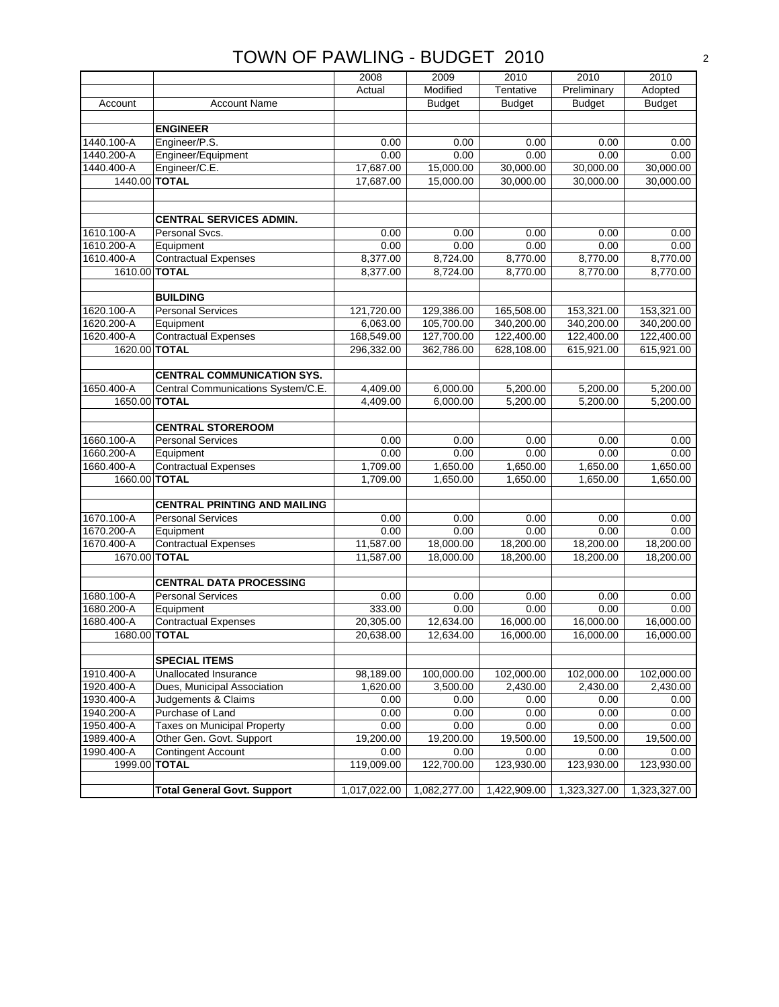|               |                                     | 2008         | 2009          | 2010          | 2010          | 2010          |
|---------------|-------------------------------------|--------------|---------------|---------------|---------------|---------------|
|               |                                     | Actual       | Modified      | Tentative     | Preliminary   | Adopted       |
| Account       | <b>Account Name</b>                 |              | <b>Budget</b> | <b>Budget</b> | <b>Budget</b> | <b>Budget</b> |
|               |                                     |              |               |               |               |               |
|               | <b>ENGINEER</b>                     |              |               |               |               |               |
| 1440.100-A    | Engineer/P.S.                       | 0.00         | 0.00          | 0.00          | 0.00          | 0.00          |
| 1440.200-A    | Engineer/Equipment                  | 0.00         | 0.00          | 0.00          | 0.00          | 0.00          |
| 1440.400-A    | Engineer/C.E.                       | 17,687.00    | 15,000.00     | 30,000.00     | 30,000.00     | 30,000.00     |
| 1440.00 TOTAL |                                     | 17,687.00    | 15,000.00     | 30,000.00     | 30,000.00     | 30,000.00     |
|               |                                     |              |               |               |               |               |
|               |                                     |              |               |               |               |               |
|               | <b>CENTRAL SERVICES ADMIN.</b>      |              |               |               |               |               |
| 1610.100-A    | Personal Svcs.                      | 0.00         | 0.00          | 0.00          | 0.00          | 0.00          |
| 1610.200-A    | Equipment                           | 0.00         | 0.00          | 0.00          | 0.00          | 0.00          |
| 1610.400-A    | <b>Contractual Expenses</b>         | 8,377.00     | 8,724.00      | 8,770.00      | 8,770.00      | 8,770.00      |
| 1610.00 TOTAL |                                     | 8,377.00     | 8,724.00      | 8,770.00      | 8,770.00      | 8,770.00      |
|               |                                     |              |               |               |               |               |
|               | <b>BUILDING</b>                     |              |               |               |               |               |
| 1620.100-A    | <b>Personal Services</b>            | 121,720.00   | 129,386.00    | 165,508.00    | 153,321.00    | 153,321.00    |
| 1620.200-A    | Equipment                           | 6,063.00     | 105,700.00    | 340,200.00    | 340,200.00    | 340,200.00    |
| 1620.400-A    | <b>Contractual Expenses</b>         | 168,549.00   | 127,700.00    | 122,400.00    | 122,400.00    | 122,400.00    |
| 1620.00 TOTAL |                                     | 296,332.00   | 362,786.00    | 628,108.00    | 615,921.00    | 615,921.00    |
|               |                                     |              |               |               |               |               |
|               | <b>CENTRAL COMMUNICATION SYS.</b>   |              |               |               |               |               |
| 1650.400-A    | Central Communications System/C.E.  | 4,409.00     | 6,000.00      | 5,200.00      | 5,200.00      | 5,200.00      |
| 1650.00 TOTAL |                                     | 4,409.00     | 6,000.00      | 5,200.00      | 5,200.00      | 5,200.00      |
|               |                                     |              |               |               |               |               |
|               | <b>CENTRAL STOREROOM</b>            |              |               |               |               |               |
| 1660.100-A    | <b>Personal Services</b>            | 0.00         | 0.00          | 0.00          | 0.00          | 0.00          |
| 1660.200-A    | Equipment                           | 0.00         | 0.00          | 0.00          | 0.00          | 0.00          |
| 1660.400-A    | <b>Contractual Expenses</b>         | 1,709.00     | 1,650.00      | 1,650.00      | 1,650.00      | 1,650.00      |
| 1660.00 TOTAL |                                     | 1,709.00     | 1,650.00      | 1,650.00      | 1,650.00      | 1,650.00      |
|               |                                     |              |               |               |               |               |
|               | <b>CENTRAL PRINTING AND MAILING</b> |              |               |               |               |               |
| 1670.100-A    | <b>Personal Services</b>            | 0.00         | 0.00          | 0.00          | 0.00          | 0.00          |
| 1670.200-A    | Equipment                           | 0.00         | 0.00          | 0.00          | 0.00          | 0.00          |
| 1670.400-A    | <b>Contractual Expenses</b>         | 11,587.00    | 18,000.00     | 18,200.00     | 18,200.00     | 18,200.00     |
| 1670.00 TOTAL |                                     | 11,587.00    | 18,000.00     | 18,200.00     | 18,200.00     | 18,200.00     |
|               |                                     |              |               |               |               |               |
|               | <b>CENTRAL DATA PROCESSING</b>      |              |               |               |               |               |
| 1680.100-A    | <b>Personal Services</b>            | 0.00         | 0.00          | 0.00          | 0.00          | 0.00          |
| 1680.200-A    | Equipment                           | 333.00       | 0.00          | 0.00          | 0.00          | 0.00          |
| 1680.400-A    | <b>Contractual Expenses</b>         | 20,305.00    | 12,634.00     | 16,000.00     | 16,000.00     | 16,000.00     |
| 1680.00 TOTAL |                                     | 20,638.00    | 12,634.00     | 16,000.00     | 16,000.00     | 16,000.00     |
|               |                                     |              |               |               |               |               |
|               | <b>SPECIAL ITEMS</b>                |              |               |               |               |               |
| 1910.400-A    | Unallocated Insurance               | 98,189.00    | 100,000.00    | 102,000.00    | 102,000.00    | 102,000.00    |
| 1920.400-A    | Dues, Municipal Association         | 1,620.00     | 3,500.00      | 2,430.00      | 2,430.00      | 2,430.00      |
| 1930.400-A    | Judgements & Claims                 | 0.00         | 0.00          | 0.00          | 0.00          | 0.00          |
| 1940.200-A    | Purchase of Land                    | 0.00         | 0.00          | 0.00          | 0.00          | 0.00          |
| 1950.400-A    | <b>Taxes on Municipal Property</b>  | 0.00         | 0.00          | 0.00          | 0.00          | 0.00          |
| 1989.400-A    | Other Gen. Govt. Support            | 19,200.00    | 19,200.00     | 19,500.00     | 19,500.00     | 19,500.00     |
| 1990.400-A    | <b>Contingent Account</b>           | 0.00         | 0.00          | 0.00          | 0.00          | 0.00          |
| 1999.00 TOTAL |                                     | 119,009.00   | 122,700.00    | 123,930.00    | 123,930.00    | 123,930.00    |
|               |                                     |              |               |               |               |               |
|               | <b>Total General Govt. Support</b>  | 1,017,022.00 | 1,082,277.00  | 1,422,909.00  | 1,323,327.00  | 1,323,327.00  |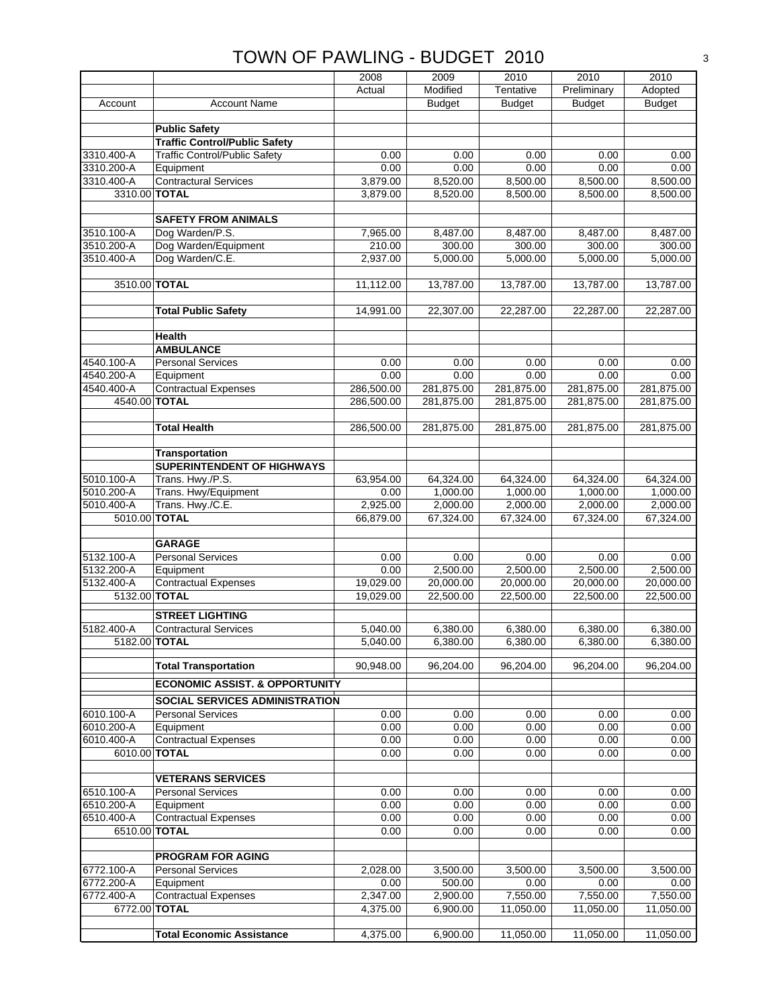|                          |                                           | 2008              | 2009                  | 2010                  | 2010                  | 2010                  |
|--------------------------|-------------------------------------------|-------------------|-----------------------|-----------------------|-----------------------|-----------------------|
|                          |                                           | Actual            | Modified              | Tentative             | Preliminary           | Adopted               |
| Account                  | <b>Account Name</b>                       |                   | <b>Budget</b>         | <b>Budget</b>         | <b>Budget</b>         | <b>Budget</b>         |
|                          |                                           |                   |                       |                       |                       |                       |
|                          | <b>Public Safety</b>                      |                   |                       |                       |                       |                       |
|                          | <b>Traffic Control/Public Safety</b>      |                   |                       |                       |                       |                       |
| 3310.400-A               | <b>Traffic Control/Public Safety</b>      | 0.00              | 0.00                  | 0.00                  | 0.00                  | 0.00                  |
| 3310.200-A               | Equipment                                 | 0.00              | 0.00                  | 0.00                  | 0.00                  | 0.00                  |
| 3310.400-A               | <b>Contractural Services</b>              | 3,879.00          | 8,520.00              | 8,500.00              | 8,500.00              | 8,500.00              |
| 3310.00 TOTAL            |                                           | 3,879.00          | 8,520.00              | 8,500.00              | 8,500.00              | 8,500.00              |
|                          |                                           |                   |                       |                       |                       |                       |
|                          | <b>SAFETY FROM ANIMALS</b>                |                   |                       |                       |                       |                       |
| 3510.100-A               | Dog Warden/P.S.                           | 7,965.00          | 8,487.00              | 8,487.00              | 8,487.00              | 8,487.00              |
| 3510.200-A               | Dog Warden/Equipment                      | 210.00            | 300.00                | 300.00                | 300.00                | 300.00                |
| 3510.400-A               | Dog Warden/C.E.                           | 2,937.00          | 5,000.00              | 5,000.00              | 5,000.00              | 5,000.00              |
| 3510.00 TOTAL            |                                           | 11,112.00         | 13,787.00             | 13,787.00             | 13,787.00             | 13,787.00             |
|                          |                                           |                   |                       |                       |                       |                       |
|                          | <b>Total Public Safety</b>                | 14,991.00         | 22,307.00             | 22,287.00             | 22,287.00             | 22,287.00             |
|                          |                                           |                   |                       |                       |                       |                       |
|                          | Health                                    |                   |                       |                       |                       |                       |
|                          | <b>AMBULANCE</b>                          |                   |                       |                       |                       |                       |
| 4540.100-A               | <b>Personal Services</b>                  | 0.00              | 0.00                  | 0.00                  | 0.00                  | 0.00                  |
| 4540.200-A               | Equipment                                 | 0.00              | 0.00                  | 0.00                  | 0.00                  | 0.00                  |
| 4540.400-A               | <b>Contractual Expenses</b>               | 286,500.00        | 281,875.00            | 281,875.00            | 281,875.00            | 281,875.00            |
| 4540.00 TOTAL            |                                           | 286,500.00        | 281,875.00            | 281,875.00            | 281,875.00            | 281,875.00            |
|                          |                                           |                   |                       |                       |                       |                       |
|                          | <b>Total Health</b>                       | 286,500.00        | 281,875.00            | 281,875.00            | 281,875.00            | 281,875.00            |
|                          |                                           |                   |                       |                       |                       |                       |
|                          | <b>Transportation</b>                     |                   |                       |                       |                       |                       |
| 5010.100-A               | SUPERINTENDENT OF HIGHWAYS                |                   |                       |                       |                       |                       |
| 5010.200-A               | Trans. Hwy./P.S.<br>Trans. Hwy/Equipment  | 63,954.00<br>0.00 | 64,324.00<br>1,000.00 | 64,324.00<br>1,000.00 | 64,324.00<br>1,000.00 | 64,324.00<br>1,000.00 |
| 5010.400-A               | Trans. Hwy./C.E.                          | 2,925.00          | 2,000.00              | 2,000.00              | 2,000.00              | 2,000.00              |
| 5010.00 TOTAL            |                                           | 66,879.00         | 67,324.00             | 67,324.00             | 67,324.00             | 67,324.00             |
|                          |                                           |                   |                       |                       |                       |                       |
|                          | <b>GARAGE</b>                             |                   |                       |                       |                       |                       |
| 5132.100-A               | <b>Personal Services</b>                  | 0.00              | 0.00                  | 0.00                  | 0.00                  | 0.00                  |
| 5132.200-A               | Equipment                                 | 0.00              | 2,500.00              | 2,500.00              | 2,500.00              | 2,500.00              |
| 5132.400-A               | <b>Contractual Expenses</b>               | 19,029.00         | 20,000.00             | 20,000.00             | 20,000.00             | 20,000.00             |
| 5132.00 TOTAL            |                                           | 19,029.00         | 22,500.00             | 22,500.00             | 22.500.00             | 22,500.00             |
|                          | <b>STREET LIGHTING</b>                    |                   |                       |                       |                       |                       |
| 5182.400-A               | <b>Contractural Services</b>              | 5,040.00          | 6,380.00              | 6,380.00              | 6,380.00              | 6,380.00              |
| 5182.00 <b>TOTAL</b>     |                                           | 5,040.00          | 6,380.00              | 6,380.00              | 6,380.00              | 6,380.00              |
|                          |                                           |                   |                       |                       |                       |                       |
|                          | <b>Total Transportation</b>               | 90,948.00         | 96,204.00             | 96,204.00             | 96,204.00             | 96,204.00             |
|                          | <b>ECONOMIC ASSIST. &amp; OPPORTUNITY</b> |                   |                       |                       |                       |                       |
|                          | SOCIAL SERVICES ADMINISTRATION            |                   |                       |                       |                       |                       |
|                          |                                           |                   |                       |                       |                       |                       |
| 6010.100-A<br>6010.200-A | <b>Personal Services</b><br>Equipment     | 0.00<br>0.00      | 0.00<br>0.00          | 0.00<br>0.00          | 0.00<br>0.00          | 0.00<br>0.00          |
| 6010.400-A               | <b>Contractual Expenses</b>               | 0.00              | 0.00                  | 0.00                  | 0.00                  | 0.00                  |
| 6010.00 TOTAL            |                                           | 0.00              | 0.00                  | 0.00                  | 0.00                  | 0.00                  |
|                          |                                           |                   |                       |                       |                       |                       |
|                          | <b>VETERANS SERVICES</b>                  |                   |                       |                       |                       |                       |
| 6510.100-A               | <b>Personal Services</b>                  | 0.00              | 0.00                  | 0.00                  | 0.00                  | 0.00                  |
| 6510.200-A               | Equipment                                 | 0.00              | 0.00                  | 0.00                  | 0.00                  | 0.00                  |
| 6510.400-A               | <b>Contractual Expenses</b>               | 0.00              | 0.00                  | 0.00                  | 0.00                  | 0.00                  |
| 6510.00 TOTAL            |                                           | 0.00              | 0.00                  | 0.00                  | 0.00                  | 0.00                  |
|                          |                                           |                   |                       |                       |                       |                       |
|                          | <b>PROGRAM FOR AGING</b>                  |                   |                       |                       |                       |                       |
| 6772.100-A               | <b>Personal Services</b>                  | 2,028.00          | 3,500.00              | 3,500.00              | 3,500.00              | 3,500.00              |
| 6772.200-A               | Equipment                                 | 0.00              | 500.00                | 0.00                  | 0.00                  | 0.00                  |
| 6772.400-A               | <b>Contractual Expenses</b>               | 2,347.00          | 2,900.00              | 7,550.00              | 7,550.00              | 7,550.00              |
| 6772.00 TOTAL            |                                           | 4,375.00          | 6,900.00              | 11,050.00             | 11,050.00             | 11,050.00             |
|                          |                                           |                   |                       |                       |                       |                       |
|                          | <b>Total Economic Assistance</b>          | 4,375.00          | 6,900.00              | 11,050.00             | 11,050.00             | 11,050.00             |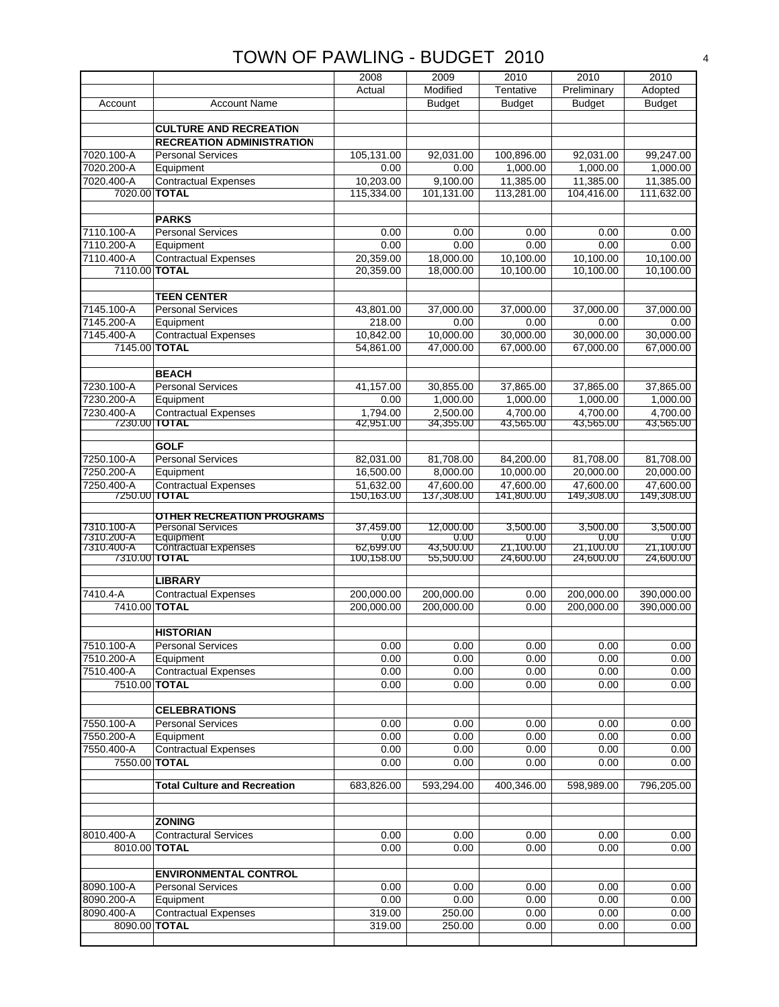|                             |                                     | 2008                  | 2009                  | 2010                  | 2010                  | 2010                  |
|-----------------------------|-------------------------------------|-----------------------|-----------------------|-----------------------|-----------------------|-----------------------|
|                             |                                     | Actual                | Modified              | Tentative             | Preliminary           | Adopted               |
| Account                     | <b>Account Name</b>                 |                       | <b>Budget</b>         | <b>Budget</b>         | <b>Budget</b>         | <b>Budget</b>         |
|                             |                                     |                       |                       |                       |                       |                       |
|                             | <b>CULTURE AND RECREATION</b>       |                       |                       |                       |                       |                       |
|                             | <b>RECREATION ADMINISTRATION</b>    |                       |                       |                       |                       |                       |
| 7020.100-A                  | <b>Personal Services</b>            | 105,131.00            | 92,031.00             | 100,896.00            | 92,031.00             | 99,247.00             |
| 7020.200-A                  | Equipment                           | 0.00                  | 0.00                  | 1,000.00              | 1,000.00              | 1,000.00              |
| 7020.400-A                  | <b>Contractual Expenses</b>         | 10,203.00             | 9,100.00              | 11,385.00             | 11,385.00             | 11,385.00             |
| 7020.00 TOTAL               |                                     | 115,334.00            | 101,131.00            | 113,281.00            | 104,416.00            | 111,632.00            |
|                             |                                     |                       |                       |                       |                       |                       |
|                             | <b>PARKS</b>                        |                       |                       |                       |                       |                       |
| 7110.100-A                  | <b>Personal Services</b>            | 0.00                  | 0.00                  | 0.00                  | 0.00                  | 0.00                  |
| 7110.200-A                  | Equipment                           | 0.00                  | 0.00                  | 0.00                  | 0.00                  | 0.00                  |
| 7110.400-A                  | <b>Contractual Expenses</b>         | 20,359.00             | 18,000.00             | 10,100.00             | 10,100.00             | 10,100.00             |
| 7110.00 TOTAL               |                                     | 20,359.00             | 18,000.00             | 10,100.00             | 10,100.00             | 10,100.00             |
|                             |                                     |                       |                       |                       |                       |                       |
|                             | <b>TEEN CENTER</b>                  |                       |                       |                       |                       |                       |
| 7145.100-A                  | <b>Personal Services</b>            | 43,801.00             | 37,000.00             | 37,000.00             | 37,000.00             | 37,000.00             |
| 7145.200-A                  | Equipment                           | 218.00                | 0.00                  | 0.00                  | 0.00                  | 0.00                  |
| 7145.400-A                  | <b>Contractual Expenses</b>         | 10,842.00             | 10,000.00             | 30,000.00             | 30,000.00             | 30,000.00             |
| 7145.00 TOTAL               |                                     | 54,861.00             | 47,000.00             | 67,000.00             | 67,000.00             | 67.000.00             |
|                             |                                     |                       |                       |                       |                       |                       |
|                             | <b>BEACH</b>                        |                       |                       |                       |                       |                       |
| 7230.100-A                  | <b>Personal Services</b>            | 41,157.00             | 30,855.00             | 37,865.00             | 37,865.00             | 37,865.00             |
| 7230.200-A                  | Equipment                           | 0.00                  | 1,000.00              | 1,000.00              | 1,000.00              | 1,000.00              |
| 7230.400-A<br>7230.00 TOTAL | <b>Contractual Expenses</b>         | 1,794.00<br>42,951.00 | 2.500.00<br>34,355.00 | 4,700.00<br>43,565.00 | 4.700.00<br>43,565.00 | 4,700.00<br>43,565.00 |
|                             |                                     |                       |                       |                       |                       |                       |
|                             | <b>GOLF</b>                         |                       |                       |                       |                       |                       |
| 7250.100-A                  | <b>Personal Services</b>            | 82,031.00             | 81,708.00             | 84,200.00             | 81,708.00             | 81,708.00             |
| 7250.200-A                  | Equipment                           | 16,500.00             | 8,000.00              | 10,000.00             | 20,000.00             | 20,000.00             |
| 7250.400-A                  | <b>Contractual Expenses</b>         | 51,632.00             | 47,600.00             | 47,600.00             | 47,600.00             | 47,600.00             |
|                             | 7250.00 TOTAL                       | 150,163.00            | 137,308.00            | 141,800.00            | 149,308.00            | 149,308.00            |
|                             | <b>OTHER RECREATION PROGRAMS</b>    |                       |                       |                       |                       |                       |
| 7310.100-A                  | <b>Personal Services</b>            | 37,459.00             | 12,000.00             | 3,500.00              | 3,500.00              | 3,500.00              |
| 7310.200-A                  | Equipment                           | 0.00                  | 0.00                  | 0.00                  | 0.00                  | 0.00                  |
| 7310.400-A                  | Contractual Expenses                | 62,699.00             | 43,500.00             | 21,100.00             | 21,100.00             | 21,100.00             |
| 7310.00 TOTAL               |                                     | 100,158.00            | 55,500.00             | 24,600.00             | 24,600.00             | 24,600.00             |
|                             | <b>LIBRARY</b>                      |                       |                       |                       |                       |                       |
| 7410.4-A                    | <b>Contractual Expenses</b>         | 200,000.00            | 200,000.00            | 0.00                  | 200,000.00            | 390,000.00            |
| 7410.00 TOTAL               |                                     | 200,000.00            | 200,000.00            | 0.00                  | 200,000.00            | 390,000.00            |
|                             |                                     |                       |                       |                       |                       |                       |
|                             | <b>HISTORIAN</b>                    |                       |                       |                       |                       |                       |
| 7510.100-A                  | <b>Personal Services</b>            | 0.00                  | 0.00                  | 0.00                  | 0.00                  | 0.00                  |
| 7510.200-A                  | Equipment                           | 0.00                  | 0.00                  | 0.00                  | 0.00                  | 0.00                  |
| 7510.400-A                  | <b>Contractual Expenses</b>         | 0.00                  | 0.00                  | 0.00                  | 0.00                  | 0.00                  |
| 7510.00 TOTAL               |                                     | 0.00                  | 0.00                  | 0.00                  | 0.00                  | 0.00                  |
|                             |                                     |                       |                       |                       |                       |                       |
|                             | <b>CELEBRATIONS</b>                 |                       |                       |                       |                       |                       |
| 7550.100-A                  | <b>Personal Services</b>            | 0.00                  | 0.00                  | 0.00                  | 0.00                  | 0.00                  |
| 7550.200-A                  | Equipment                           | 0.00                  | 0.00                  | 0.00                  | 0.00                  | 0.00                  |
| 7550.400-A                  | Contractual Expenses                | 0.00                  | 0.00                  | 0.00                  | 0.00                  | 0.00                  |
| 7550.00 TOTAL               |                                     | 0.00                  | 0.00                  | 0.00                  | 0.00                  | 0.00                  |
|                             |                                     |                       |                       |                       |                       |                       |
|                             | <b>Total Culture and Recreation</b> | 683,826.00            | 593,294.00            | 400,346.00            | 598,989.00            | 796,205.00            |
|                             |                                     |                       |                       |                       |                       |                       |
|                             | <b>ZONING</b>                       |                       |                       |                       |                       |                       |
| 8010.400-A                  | <b>Contractural Services</b>        | 0.00                  | 0.00                  | 0.00                  | 0.00                  | 0.00                  |
| 8010.00 TOTAL               |                                     | 0.00                  | 0.00                  | 0.00                  | 0.00                  | 0.00                  |
|                             |                                     |                       |                       |                       |                       |                       |
|                             | <b>ENVIRONMENTAL CONTROL</b>        |                       |                       |                       |                       |                       |
| 8090.100-A                  | <b>Personal Services</b>            | 0.00                  | 0.00                  | 0.00                  | 0.00                  | 0.00                  |
| 8090.200-A                  | Equipment                           | 0.00                  | 0.00                  | 0.00                  | 0.00                  | 0.00                  |
| 8090.400-A                  | <b>Contractual Expenses</b>         | 319.00                | 250.00                | 0.00                  | 0.00                  | 0.00                  |
| 8090.00 TOTAL               |                                     | 319.00                | 250.00                | 0.00                  | 0.00                  | 0.00                  |
|                             |                                     |                       |                       |                       |                       |                       |
|                             |                                     |                       |                       |                       |                       |                       |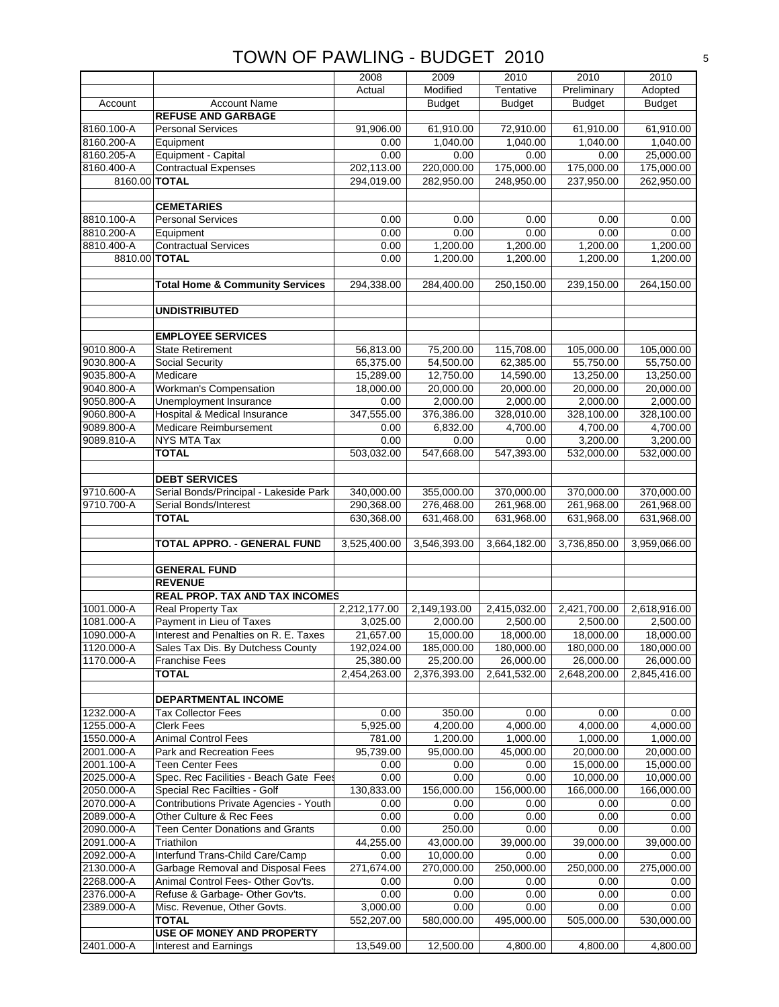|               |                                            | 2008                  | 2009          | 2010          | 2010                  | 2010          |
|---------------|--------------------------------------------|-----------------------|---------------|---------------|-----------------------|---------------|
|               |                                            | Actual                | Modified      | Tentative     | Preliminary           | Adopted       |
| Account       | <b>Account Name</b>                        |                       | <b>Budget</b> | <b>Budget</b> | <b>Budget</b>         | <b>Budget</b> |
|               | <b>REFUSE AND GARBAGE</b>                  |                       |               |               |                       |               |
|               |                                            |                       |               |               |                       |               |
| 8160.100-A    | <b>Personal Services</b>                   | 91,906.00             | 61,910.00     | 72,910.00     | 61,910.00             | 61,910.00     |
| 8160.200-A    | Equipment                                  | 0.00                  | 1,040.00      | 1,040.00      | 1,040.00              | 1,040.00      |
| 8160.205-A    | Equipment - Capital                        | 0.00                  | 0.00          | 0.00          | 0.00                  | 25,000.00     |
| 8160.400-A    | <b>Contractual Expenses</b>                | 202,113.00            | 220,000.00    | 175,000.00    | 175,000.00            | 175,000.00    |
| 8160.00 TOTAL |                                            | 294,019.00            | 282,950.00    | 248,950.00    | 237,950.00            | 262,950.00    |
|               |                                            |                       |               |               |                       |               |
|               | <b>CEMETARIES</b>                          |                       |               |               |                       |               |
| 8810.100-A    | <b>Personal Services</b>                   | 0.00                  | 0.00          | 0.00          | 0.00                  | 0.00          |
| 8810.200-A    | Equipment                                  | 0.00                  | 0.00          | 0.00          | 0.00                  | 0.00          |
| 8810.400-A    | <b>Contractual Services</b>                | 0.00                  | 1,200.00      | 1,200.00      | 1,200.00              | 1,200.00      |
| 8810.00 TOTAL |                                            | 0.00                  | 1,200.00      | 1,200.00      | 1,200.00              | 1,200.00      |
|               |                                            |                       |               |               |                       |               |
|               | <b>Total Home &amp; Community Services</b> | 294,338.00            | 284,400.00    | 250,150.00    | 239,150.00            | 264,150.00    |
|               |                                            |                       |               |               |                       |               |
|               | <b>UNDISTRIBUTED</b>                       |                       |               |               |                       |               |
|               |                                            |                       |               |               |                       |               |
|               | <b>EMPLOYEE SERVICES</b>                   |                       |               |               |                       |               |
| 9010.800-A    | <b>State Retirement</b>                    | 56,813.00             | 75,200.00     | 115,708.00    | 105,000.00            | 105,000.00    |
| 9030.800-A    | Social Security                            | 65,375.00             | 54,500.00     | 62,385.00     | 55,750.00             | 55,750.00     |
|               |                                            |                       |               |               |                       |               |
| 9035.800-A    | Medicare                                   | 15,289.00             | 12,750.00     | 14,590.00     | 13,250.00             | 13,250.00     |
| 9040.800-A    | <b>Workman's Compensation</b>              | 18,000.00             | 20,000.00     | 20,000.00     | 20,000.00             | 20,000.00     |
| 9050.800-A    | <b>Unemployment Insurance</b>              | 0.00                  | 2,000.00      | 2,000.00      | 2,000.00              | 2,000.00      |
| 9060.800-A    | <b>Hospital &amp; Medical Insurance</b>    | 347,555.00            | 376,386.00    | 328,010.00    | 328,100.00            | 328,100.00    |
| 9089.800-A    | Medicare Reimbursement                     | 0.00                  | 6,832.00      | 4,700.00      | 4,700.00              | 4,700.00      |
| 9089.810-A    | NYS MTA Tax                                | 0.00                  | 0.00          | 0.00          | 3,200.00              | 3,200.00      |
|               | <b>TOTAL</b>                               | 503,032.00            | 547,668.00    | 547,393.00    | 532,000.00            | 532,000.00    |
|               |                                            |                       |               |               |                       |               |
|               | <b>DEBT SERVICES</b>                       |                       |               |               |                       |               |
| 9710.600-A    | Serial Bonds/Principal - Lakeside Park     | 340,000.00            | 355,000.00    | 370,000.00    | 370,000.00            | 370,000.00    |
| 9710.700-A    | Serial Bonds/Interest                      | 290,368.00            | 276,468.00    | 261,968.00    | 261,968.00            | 261,968.00    |
|               | <b>TOTAL</b>                               | 630,368.00            | 631,468.00    | 631,968.00    | 631,968.00            | 631,968.00    |
|               |                                            |                       |               |               |                       |               |
|               | TOTAL APPRO. - GENERAL FUND                | 3,525,400.00          | 3,546,393.00  | 3,664,182.00  | 3,736,850.00          | 3,959,066.00  |
|               |                                            |                       |               |               |                       |               |
|               | <b>GENERAL FUND</b>                        |                       |               |               |                       |               |
|               | <b>REVENUE</b>                             |                       |               |               |                       |               |
|               | <b>REAL PROP. TAX AND TAX INCOMES</b>      |                       |               |               |                       |               |
| 1001.000-A    | <b>Real Property Tax</b>                   | 2,212,177.00          | 2,149,193.00  | 2,415,032.00  | 2,421,700.00          | 2,618,916.00  |
| 1081.000-A    | Payment in Lieu of Taxes                   | 3,025.00              | 2,000.00      | 2,500.00      | 2,500.00              | 2,500.00      |
| 1090.000-A    | Interest and Penalties on R. E. Taxes      | 21,657.00             | 15,000.00     | 18,000.00     | 18,000.00             | 18,000.00     |
| 1120.000-A    | Sales Tax Dis. By Dutchess County          | 192,024.00            | 185,000.00    | 180,000.00    | 180,000.00            | 180,000.00    |
| 1170.000-A    | <b>Franchise Fees</b>                      | 25,380.00             | 25,200.00     | 26,000.00     | 26,000.00             | 26,000.00     |
|               | <b>TOTAL</b>                               | 2,454,263.00          | 2,376,393.00  | 2,641,532.00  | 2,648,200.00          | 2,845,416.00  |
|               |                                            |                       |               |               |                       |               |
|               | <b>DEPARTMENTAL INCOME</b>                 |                       |               |               |                       |               |
| 1232.000-A    |                                            |                       |               |               |                       |               |
|               | <b>Tax Collector Fees</b>                  | 0.00                  | 350.00        | 0.00          | 0.00                  | 0.00          |
| 1255.000-A    | <b>Clerk Fees</b>                          | $\overline{5,925.00}$ | 4,200.00      | 4,000.00      | $\overline{4,000.00}$ | 4,000.00      |
| 1550.000-A    | <b>Animal Control Fees</b>                 | 781.00                | 1,200.00      | 1,000.00      | 1,000.00              | 1,000.00      |
| 2001.000-A    | Park and Recreation Fees                   | 95,739.00             | 95,000.00     | 45,000.00     | 20,000.00             | 20,000.00     |
| 2001.100-A    | Teen Center Fees                           | 0.00                  | 0.00          | 0.00          | 15,000.00             | 15,000.00     |
| 2025.000-A    | Spec. Rec Facilities - Beach Gate Fees     | 0.00                  | 0.00          | 0.00          | 10,000.00             | 10,000.00     |
| 2050.000-A    | Special Rec Facilties - Golf               | 130,833.00            | 156,000.00    | 156,000.00    | 166,000.00            | 166,000.00    |
| 2070.000-A    | Contributions Private Agencies - Youth     | 0.00                  | 0.00          | 0.00          | 0.00                  | 0.00          |
| 2089.000-A    | Other Culture & Rec Fees                   | 0.00                  | 0.00          | 0.00          | 0.00                  | 0.00          |
| 2090.000-A    | <b>Teen Center Donations and Grants</b>    | 0.00                  | 250.00        | 0.00          | 0.00                  | 0.00          |
| 2091.000-A    | Triathilon                                 | 44,255.00             | 43,000.00     | 39,000.00     | 39,000.00             | 39,000.00     |
| 2092.000-A    | Interfund Trans-Child Care/Camp            | 0.00                  | 10,000.00     | 0.00          | 0.00                  | 0.00          |
| 2130.000-A    | Garbage Removal and Disposal Fees          | 271,674.00            | 270,000.00    | 250,000.00    | 250,000.00            | 275,000.00    |
| 2268.000-A    | Animal Control Fees- Other Gov'ts.         | 0.00                  | 0.00          | 0.00          | 0.00                  | 0.00          |
| 2376.000-A    | Refuse & Garbage- Other Gov'ts.            | 0.00                  | 0.00          | 0.00          | 0.00                  | 0.00          |
| 2389.000-A    | Misc. Revenue, Other Govts.                | 3,000.00              | 0.00          | 0.00          | 0.00                  | 0.00          |
|               | <b>TOTAL</b>                               | 552,207.00            | 580,000.00    | 495,000.00    | 505,000.00            | 530,000.00    |
|               | <b>USE OF MONEY AND PROPERTY</b>           |                       |               |               |                       |               |
| 2401.000-A    | Interest and Earnings                      | 13,549.00             | 12,500.00     | 4,800.00      | 4,800.00              | 4,800.00      |
|               |                                            |                       |               |               |                       |               |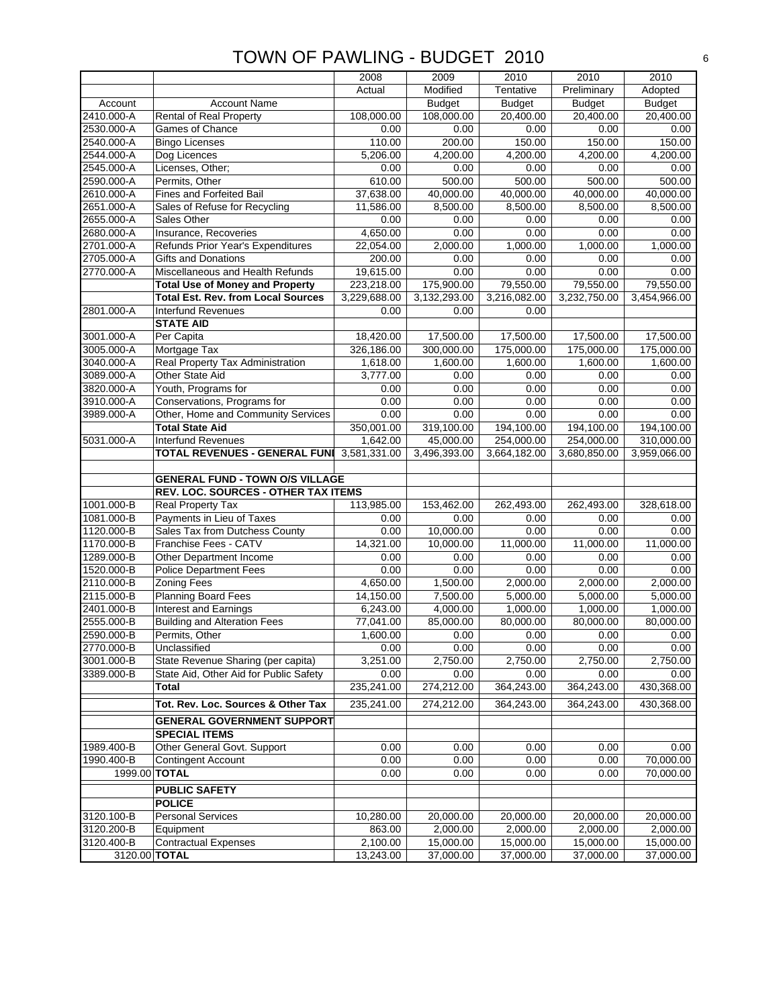|                          |                                                                              | 2008             | 2009          | 2010             | 2010          | 2010          |
|--------------------------|------------------------------------------------------------------------------|------------------|---------------|------------------|---------------|---------------|
|                          |                                                                              | Actual           | Modified      | Tentative        | Preliminary   | Adopted       |
| Account                  | <b>Account Name</b>                                                          |                  | <b>Budget</b> | <b>Budget</b>    | <b>Budget</b> | <b>Budget</b> |
| 2410.000-A               | <b>Rental of Real Property</b>                                               | 108,000.00       | 108,000.00    | 20,400.00        | 20,400.00     | 20,400.00     |
| 2530.000-A               | Games of Chance                                                              | 0.00             | 0.00          | 0.00             | 0.00          | 0.00          |
| 2540.000-A               | <b>Bingo Licenses</b>                                                        | 110.00           | 200.00        | 150.00           | 150.00        | 150.00        |
| 2544.000-A               | Dog Licences                                                                 | 5,206.00         | 4,200.00      | 4,200.00         | 4,200.00      | 4,200.00      |
| 2545.000-A               | Licenses, Other;                                                             | 0.00             | 0.00          | 0.00             | 0.00          | 0.00          |
| 2590.000-A               | Permits, Other                                                               | 610.00           | 500.00        | 500.00           | 500.00        | 500.00        |
| 2610.000-A               | Fines and Forfeited Bail                                                     | 37,638.00        | 40,000.00     | 40,000.00        | 40,000.00     | 40,000.00     |
| 2651.000-A               | Sales of Refuse for Recycling                                                | 11,586.00        | 8,500.00      | 8,500.00         | 8,500.00      | 8,500.00      |
| 2655.000-A               | Sales Other                                                                  | 0.00             | 0.00          | 0.00             | 0.00          | 0.00          |
| 2680.000-A               | Insurance, Recoveries                                                        | 4,650.00         | 0.00          | 0.00             | 0.00          | 0.00          |
| 2701.000-A               | Refunds Prior Year's Expenditures                                            | 22,054.00        | 2,000.00      | 1,000.00         | 1,000.00      | 1,000.00      |
| 2705.000-A               | <b>Gifts and Donations</b>                                                   | 200.00           | 0.00          | 0.00             | 0.00          | 0.00          |
| 2770.000-A               | Miscellaneous and Health Refunds                                             | 19,615.00        | 0.00          | 0.00             | 0.00          | 0.00          |
|                          | <b>Total Use of Money and Property</b>                                       | 223,218.00       | 175,900.00    | 79,550.00        | 79,550.00     | 79,550.00     |
|                          | <b>Total Est. Rev. from Local Sources</b>                                    | 3,229,688.00     | 3,132,293.00  | 3,216,082.00     | 3,232,750.00  | 3,454,966.00  |
| 2801.000-A               | Interfund Revenues                                                           | 0.00             | 0.00          | 0.00             |               |               |
|                          | <b>STATE AID</b>                                                             |                  |               |                  |               |               |
| 3001.000-A               | Per Capita                                                                   | 18,420.00        | 17,500.00     | 17,500.00        | 17,500.00     | 17,500.00     |
| 3005.000-A               | Mortgage Tax                                                                 | 326,186.00       | 300,000.00    | 175,000.00       | 175,000.00    | 175,000.00    |
| 3040.000-A               | Real Property Tax Administration                                             | 1,618.00         | 1,600.00      | 1,600.00         | 1,600.00      | 1,600.00      |
| 3089.000-A               | Other State Aid                                                              | 3,777.00         | 0.00          | 0.00             | 0.00          | 0.00          |
| 3820.000-A               | Youth, Programs for                                                          | 0.00             | 0.00          | 0.00             | 0.00          | 0.00          |
| 3910.000-A               | Conservations, Programs for                                                  | 0.00             | 0.00          | 0.00             | 0.00          | 0.00          |
| 3989.000-A               | Other, Home and Community Services                                           | 0.00             | 0.00          | 0.00             | 0.00          | 0.00          |
|                          | <b>Total State Aid</b>                                                       | 350,001.00       | 319,100.00    | 194,100.00       | 194,100.00    | 194,100.00    |
| 5031.000-A               | Interfund Revenues                                                           | 1,642.00         | 45,000.00     | 254,000.00       | 254,000.00    | 310,000.00    |
|                          | <b>TOTAL REVENUES - GENERAL FUNI</b>                                         | 3,581,331.00     | 3,496,393.00  | 3,664,182.00     | 3,680,850.00  | 3,959,066.00  |
|                          |                                                                              |                  |               |                  |               |               |
|                          | <b>GENERAL FUND - TOWN O/S VILLAGE</b>                                       |                  |               |                  |               |               |
|                          | REV. LOC. SOURCES - OTHER TAX ITEMS                                          |                  |               |                  |               |               |
| 1001.000-B               | Real Property Tax                                                            | 113,985.00       | 153,462.00    | 262,493.00       | 262,493.00    | 328,618.00    |
| 1081.000-B               | Payments in Lieu of Taxes                                                    | 0.00             | 0.00          | 0.00             | 0.00          | 0.00          |
| 1120.000-B               | Sales Tax from Dutchess County                                               | 0.00             | 10,000.00     | 0.00             | 0.00          | 0.00          |
| 1170.000-B               | Franchise Fees - CATV                                                        | 14,321.00        | 10,000.00     | 11,000.00        | 11,000.00     | 11,000.00     |
| 1289.000-B               | Other Department Income                                                      | 0.00             | 0.00          | 0.00             | 0.00          | 0.00          |
| 1520.000-B               | <b>Police Department Fees</b>                                                | 0.00             | 0.00          | 0.00             | 0.00          | 0.00          |
| 2110.000-B               | <b>Zoning Fees</b>                                                           | 4,650.00         | 1,500.00      | 2,000.00         | 2,000.00      | 2,000.00      |
| 2115.000-B               | <b>Planning Board Fees</b>                                                   | 14,150.00        | 7,500.00      | 5,000.00         | 5,000.00      | 5,000.00      |
| 2401.000-B               | <b>Interest and Earnings</b>                                                 | 6,243.00         | 4,000.00      | 1,000.00         | 1,000.00      | 1,000.00      |
| 2555.000-B               | <b>Building and Alteration Fees</b>                                          | 77,041.00        | 85,000.00     | 80,000.00        | 80,000.00     | 80,000.00     |
| 2590.000-B               | Permits, Other                                                               | 1,600.00         | 0.00          | 0.00             | 0.00          | 0.00          |
| 2770.000-B<br>3001.000-B | Unclassified                                                                 | 0.00<br>3,251.00 | 0.00          | 0.00             | 0.00          | 0.00          |
|                          | State Revenue Sharing (per capita)<br>State Aid, Other Aid for Public Safety |                  | 2,750.00      | 2,750.00<br>0.00 | 2,750.00      | 2,750.00      |
| 3389.000-B               |                                                                              | 0.00             | 0.00          |                  | 0.00          | 0.00          |
|                          | Total                                                                        | 235,241.00       | 274,212.00    | 364,243.00       | 364,243.00    | 430,368.00    |
|                          | Tot. Rev. Loc. Sources & Other Tax                                           | 235,241.00       | 274,212.00    | 364,243.00       | 364,243.00    | 430,368.00    |
|                          | <b>GENERAL GOVERNMENT SUPPORT</b>                                            |                  |               |                  |               |               |
|                          | <b>SPECIAL ITEMS</b>                                                         |                  |               |                  |               |               |
| 1989.400-B               | Other General Govt. Support                                                  | 0.00             | 0.00          | 0.00             | 0.00          | 0.00          |
| 1990.400-B               | <b>Contingent Account</b>                                                    | 0.00             | 0.00          | 0.00             | 0.00          | 70,000.00     |
|                          | 1999.00 TOTAL                                                                | 0.00             | 0.00          | 0.00             | 0.00          | 70,000.00     |
|                          | <b>PUBLIC SAFETY</b>                                                         |                  |               |                  |               |               |
|                          | <b>POLICE</b>                                                                |                  |               |                  |               |               |
| 3120.100-B               | <b>Personal Services</b>                                                     | 10,280.00        | 20,000.00     | 20,000.00        | 20,000.00     | 20,000.00     |
| 3120.200-B               | Equipment                                                                    | 863.00           | 2,000.00      | 2,000.00         | 2,000.00      | 2,000.00      |
|                          |                                                                              |                  |               |                  |               |               |
| 3120.400-B               | <b>Contractual Expenses</b>                                                  | 2,100.00         | 15,000.00     | 15,000.00        | 15,000.00     | 15,000.00     |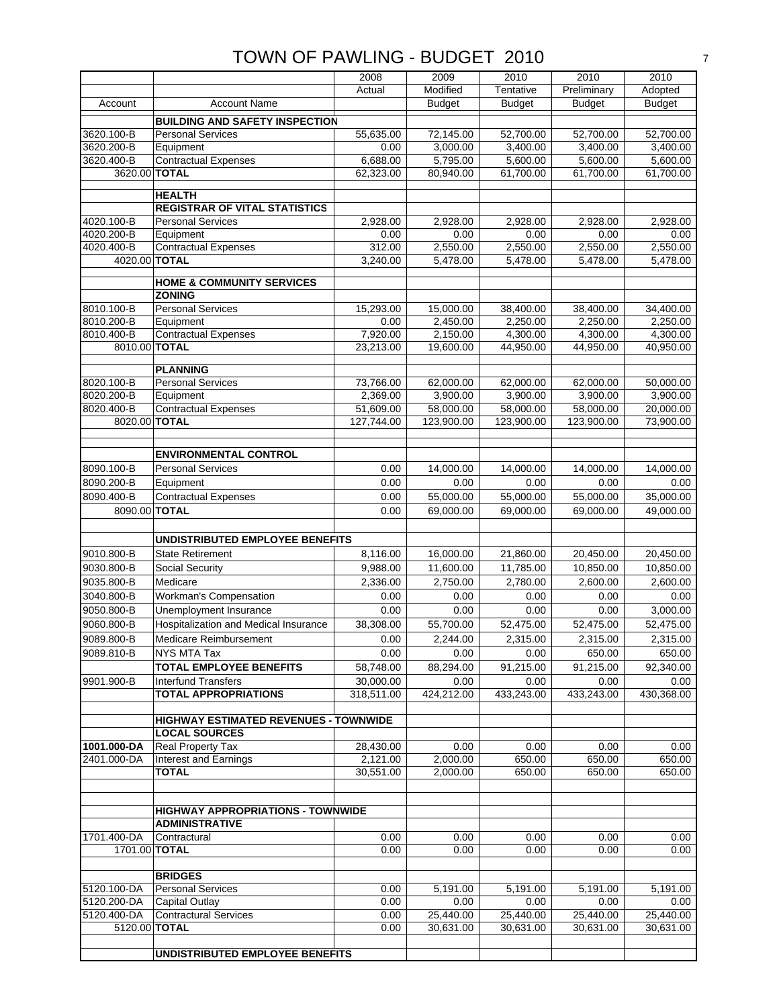|                          |                                                                   | 2008              | 2009                  | 2010                                | 2010                  | 2010                  |
|--------------------------|-------------------------------------------------------------------|-------------------|-----------------------|-------------------------------------|-----------------------|-----------------------|
|                          |                                                                   | Actual            | Modified              | Tentative                           | Preliminary           | Adopted               |
| Account                  | <b>Account Name</b>                                               |                   | <b>Budget</b>         | <b>Budget</b>                       | <b>Budget</b>         | <b>Budget</b>         |
|                          |                                                                   |                   |                       |                                     |                       |                       |
| 3620.100-B               | <b>BUILDING AND SAFETY INSPECTION</b><br><b>Personal Services</b> |                   |                       |                                     |                       |                       |
| 3620.200-B               | Equipment                                                         | 55,635.00<br>0.00 | 72,145.00<br>3,000.00 | $\overline{52}$ ,700.00<br>3,400.00 | 52,700.00<br>3,400.00 | 52,700.00<br>3,400.00 |
| 3620.400-B               | <b>Contractual Expenses</b>                                       | 6,688.00          | 5,795.00              | 5,600.00                            | 5,600.00              | 5,600.00              |
| 3620.00                  | <b>TOTAL</b>                                                      | 62,323.00         | 80,940.00             | 61,700.00                           | 61,700.00             | 61,700.00             |
|                          |                                                                   |                   |                       |                                     |                       |                       |
|                          | <b>HEALTH</b>                                                     |                   |                       |                                     |                       |                       |
|                          | <b>REGISTRAR OF VITAL STATISTICS</b>                              |                   |                       |                                     |                       |                       |
| 4020.100-B               | <b>Personal Services</b>                                          | 2,928.00          | 2,928.00              | 2,928.00                            | 2,928.00              | 2,928.00              |
| 4020.200-B               | Equipment                                                         | 0.00              | 0.00                  | 0.00                                | 0.00                  | 0.00                  |
| 4020.400-B               | <b>Contractual Expenses</b>                                       | 312.00            | 2,550.00              | 2,550.00                            | 2,550.00              | 2,550.00              |
| 4020.00 TOTAL            |                                                                   | 3,240.00          | 5,478.00              | 5,478.00                            | 5,478.00              | 5,478.00              |
|                          |                                                                   |                   |                       |                                     |                       |                       |
|                          | <b>HOME &amp; COMMUNITY SERVICES</b>                              |                   |                       |                                     |                       |                       |
|                          | <b>ZONING</b>                                                     |                   |                       |                                     |                       |                       |
| 8010.100-B               | <b>Personal Services</b>                                          | 15,293.00         | 15,000.00             | 38,400.00                           | 38,400.00             | 34,400.00<br>2,250.00 |
| 8010.200-B<br>8010.400-B | Equipment<br>Contractual Expenses                                 | 0.00<br>7,920.00  | 2,450.00<br>2,150.00  | 2,250.00<br>4,300.00                | 2,250.00<br>4,300.00  | 4,300.00              |
| 8010.00 TOTAL            |                                                                   | 23,213.00         | 19,600.00             | 44,950.00                           | 44,950.00             | 40,950.00             |
|                          |                                                                   |                   |                       |                                     |                       |                       |
|                          | <b>PLANNING</b>                                                   |                   |                       |                                     |                       |                       |
| 8020.100-B               | <b>Personal Services</b>                                          | 73,766.00         | 62,000.00             | 62,000.00                           | 62,000.00             | 50,000.00             |
| 8020.200-B               | Equipment                                                         | 2,369.00          | 3,900.00              | 3,900.00                            | 3,900.00              | 3,900.00              |
| 8020.400-B               | <b>Contractual Expenses</b>                                       | 51,609.00         | 58,000.00             | 58,000.00                           | 58,000.00             | 20,000.00             |
| 8020.00 TOTAL            |                                                                   | 127,744.00        | 123,900.00            | 123,900.00                          | 123,900.00            | 73,900.00             |
|                          |                                                                   |                   |                       |                                     |                       |                       |
|                          |                                                                   |                   |                       |                                     |                       |                       |
|                          | <b>ENVIRONMENTAL CONTROL</b>                                      |                   |                       |                                     |                       |                       |
| 8090.100-B               | <b>Personal Services</b>                                          | 0.00              | 14,000.00             | 14,000.00                           | 14,000.00             | 14,000.00             |
| 8090.200-B               | Equipment                                                         | 0.00              | 0.00                  | 0.00                                | 0.00                  | 0.00                  |
| 8090.400-B               | <b>Contractual Expenses</b>                                       | 0.00              | 55,000.00             | 55,000.00                           | 55,000.00             | 35,000.00             |
| 8090.00 TOTAL            |                                                                   | 0.00              | 69,000.00             | 69,000.00                           | 69,000.00             | 49,000.00             |
|                          |                                                                   |                   |                       |                                     |                       |                       |
|                          | UNDISTRIBUTED EMPLOYEE BENEFITS                                   |                   |                       |                                     |                       |                       |
| 9010.800-B               | <b>State Retirement</b>                                           | 8,116.00          | 16,000.00             | 21,860.00                           | 20,450.00             | 20,450.00             |
| 9030.800-B               | <b>Social Security</b>                                            | 9,988.00          | 11,600.00             | 11,785.00                           | 10,850.00             | 10,850.00             |
| 9035.800-B               | Medicare                                                          | 2,336.00          | 2,750.00              | 2,780.00                            | 2,600.00              | 2,600.00              |
| 3040.800-B               | Workman's Compensation                                            | 0.00              | 0.00                  | 0.00                                | 0.00                  | 0.00                  |
| 9050.800-B               | Unemployment Insurance                                            | 0.00              | 0.00                  | 0.00                                | 0.00                  | 3,000.00              |
| 9060.800-B               | Hospitalization and Medical Insurance                             | 38,308.00         | 55,700.00             | 52,475.00                           | 52,475.00             | 52,475.00             |
| 9089.800-B               | Medicare Reimbursement                                            | 0.00              | 2,244.00              | 2,315.00                            | 2,315.00              | 2,315.00              |
| 9089.810-B               | NYS MTA Tax                                                       | 0.00              | 0.00                  | 0.00                                | 650.00                | 650.00                |
|                          | TOTAL EMPLOYEE BENEFITS                                           | 58,748.00         | 88,294.00             | 91,215.00                           | 91,215.00             | 92,340.00             |
| 9901.900-B               | <b>Interfund Transfers</b>                                        | 30,000.00         | 0.00                  | 0.00                                | 0.00                  | 0.00                  |
|                          | <b>TOTAL APPROPRIATIONS</b>                                       | 318,511.00        | 424,212.00            | 433,243.00                          | 433,243.00            | 430,368.00            |
|                          |                                                                   |                   |                       |                                     |                       |                       |
|                          | <b>HIGHWAY ESTIMATED REVENUES - TOWNWIDE</b>                      |                   |                       |                                     |                       |                       |
|                          | <b>LOCAL SOURCES</b>                                              |                   |                       |                                     |                       |                       |
| 1001.000-DA              | Real Property Tax                                                 | 28,430.00         | 0.00                  | 0.00                                | 0.00                  | 0.00                  |
| 2401.000-DA              | Interest and Earnings                                             | 2,121.00          | 2,000.00              | 650.00                              | 650.00                | 650.00                |
|                          | <b>TOTAL</b>                                                      | 30,551.00         | 2,000.00              | 650.00                              | 650.00                | 650.00                |
|                          |                                                                   |                   |                       |                                     |                       |                       |
|                          |                                                                   |                   |                       |                                     |                       |                       |
|                          | <b>HIGHWAY APPROPRIATIONS - TOWNWIDE</b>                          |                   |                       |                                     |                       |                       |
|                          | <b>ADMINISTRATIVE</b>                                             |                   |                       |                                     |                       |                       |
| 1701.400-DA              | Contractural                                                      | 0.00              | 0.00                  | 0.00                                | 0.00                  | 0.00                  |
| 1701.00 TOTAL            |                                                                   | 0.00              | 0.00                  | 0.00                                | 0.00                  | 0.00                  |
|                          |                                                                   |                   |                       |                                     |                       |                       |
|                          | <b>BRIDGES</b>                                                    |                   |                       |                                     |                       |                       |
| 5120.100-DA              | <b>Personal Services</b>                                          | 0.00              | 5,191.00              | 5,191.00                            | 5,191.00              | 5,191.00              |
| 5120.200-DA              | Capital Outlay                                                    | 0.00              | 0.00                  | 0.00                                | 0.00                  | 0.00                  |
| 5120.400-DA              | <b>Contractural Services</b>                                      | 0.00              | 25,440.00             | 25,440.00                           | 25,440.00             | 25,440.00             |
| 5120.00 TOTAL            |                                                                   | 0.00              | 30,631.00             | 30,631.00                           | 30,631.00             | 30,631.00             |
|                          |                                                                   |                   |                       |                                     |                       |                       |
|                          | UNDISTRIBUTED EMPLOYEE BENEFITS                                   |                   |                       |                                     |                       |                       |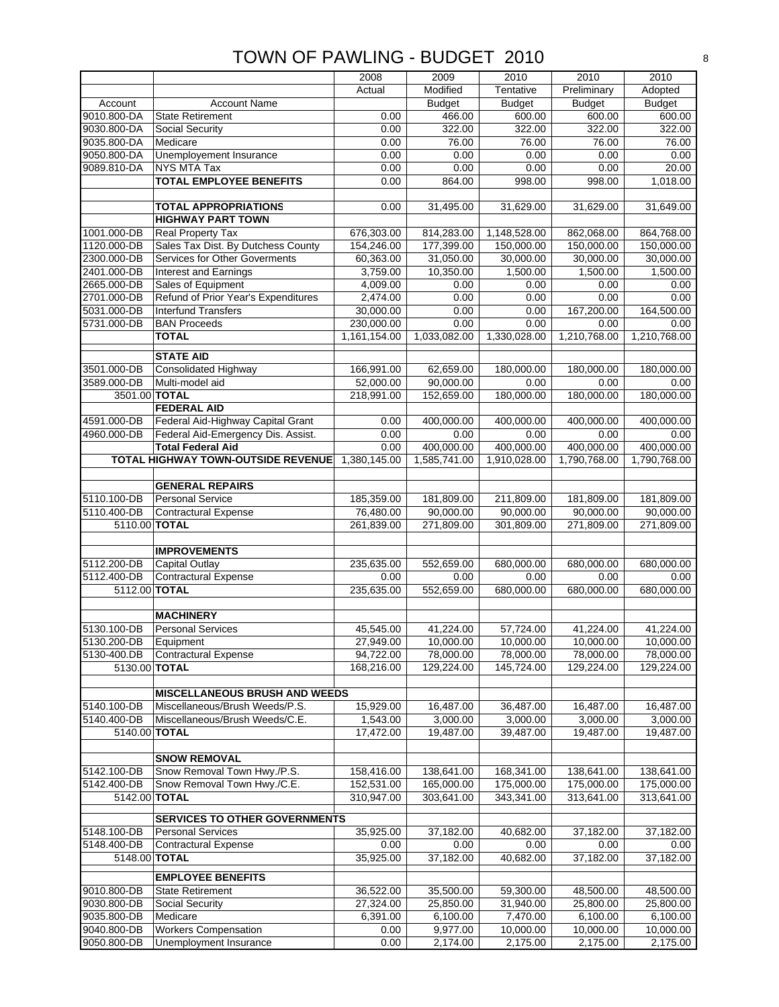|                            |                                                   | 2008                    | 2009                     | 2010          | 2010               | 2010               |
|----------------------------|---------------------------------------------------|-------------------------|--------------------------|---------------|--------------------|--------------------|
|                            |                                                   | Actual                  | Modified                 | Tentative     | Preliminary        | Adopted            |
| Account                    | <b>Account Name</b>                               |                         | <b>Budget</b>            | <b>Budget</b> | <b>Budget</b>      | <b>Budget</b>      |
| 9010.800-DA                | <b>State Retirement</b>                           | 0.00                    | 466.00                   | 600.00        | 600.00             | 600.00             |
| 9030.800-DA                | Social Security                                   | 0.00                    | 322.00                   | 322.00        | 322.00             | 322.00             |
| 9035.800-DA                | Medicare                                          | 0.00                    | 76.00                    | 76.00         | 76.00              | 76.00              |
| 9050.800-DA                | Unemployement Insurance                           | 0.00                    | 0.00                     | 0.00          | 0.00               | 0.00               |
| 9089.810-DA                | <b>NYS MTA Tax</b>                                | 0.00                    | 0.00                     | 0.00          | 0.00               | 20.00              |
|                            | <b>TOTAL EMPLOYEE BENEFITS</b>                    | 0.00                    | 864.00                   | 998.00        | 998.00             | 1,018.00           |
|                            |                                                   |                         |                          |               |                    |                    |
|                            | <b>TOTAL APPROPRIATIONS</b>                       | 0.00                    | 31,495.00                | 31,629.00     | 31,629.00          | 31,649.00          |
|                            | <b>HIGHWAY PART TOWN</b>                          |                         |                          |               |                    |                    |
| 1001.000-DB                | Real Property Tax                                 | 676,303.00              | 814,283.00               | 1,148,528.00  | 862,068.00         | 864,768.00         |
| 1120.000-DB                | Sales Tax Dist. By Dutchess County                | 154,246.00              | 177,399.00               | 150,000.00    | 150,000.00         | 150,000.00         |
| 2300.000-DB                | <b>Services for Other Goverments</b>              | 60,363.00               | 31,050.00                | 30,000.00     | 30,000.00          | 30,000.00          |
| 2401.000-DB                | Interest and Earnings                             | 3,759.00                | 10,350.00                | 1,500.00      | 1,500.00           | 1,500.00           |
| 2665.000-DB                | Sales of Equipment                                | 4,009.00                | 0.00                     | 0.00          | 0.00               | 0.00               |
| 2701.000-DB                | Refund of Prior Year's Expenditures               | 2,474.00                | 0.00                     | 0.00          | 0.00               | 0.00               |
| 5031.000-DB<br>5731.000-DB | <b>Interfund Transfers</b><br><b>BAN Proceeds</b> | 30,000.00<br>230,000.00 | 0.00<br>0.00             | 0.00<br>0.00  | 167,200.00<br>0.00 | 164,500.00<br>0.00 |
|                            | <b>TOTAL</b>                                      | 1,161,154.00            |                          |               | 1,210,768.00       |                    |
|                            |                                                   |                         | 1,033,082.00             | 1,330,028.00  |                    | 1,210,768.00       |
|                            | <b>STATE AID</b>                                  |                         |                          |               |                    |                    |
| 3501.000-DB                | <b>Consolidated Highway</b>                       | 166,991.00              | 62,659.00                | 180,000.00    | 180,000.00         | 180,000.00         |
| 3589.000-DB                | Multi-model aid                                   | 52,000.00               | 90,000.00                | 0.00          | 0.00               | 0.00               |
| 3501.00 TOTAL              |                                                   | 218,991.00              | 152,659.00               | 180,000.00    | 180,000.00         | 180,000.00         |
|                            | <b>FEDERAL AID</b>                                |                         |                          |               |                    |                    |
| 4591.000-DB                | Federal Aid-Highway Capital Grant                 | 0.00                    | 400,000.00               | 400,000.00    | 400,000.00         | 400,000.00         |
| 4960.000-DB                | Federal Aid-Emergency Dis. Assist.                | 0.00                    | 0.00                     | 0.00          | 0.00               | 0.00               |
|                            | <b>Total Federal Aid</b>                          | 0.00                    | 400,000.00               | 400,000.00    | 400,000.00         | 400,000.00         |
|                            | <b>TOTAL HIGHWAY TOWN-OUTSIDE REVENUE</b>         | 1,380,145.00            | 1,585,741.00             | 1,910,028.00  | 1,790,768.00       | 1,790,768.00       |
|                            |                                                   |                         |                          |               |                    |                    |
|                            | <b>GENERAL REPAIRS</b>                            |                         |                          |               |                    |                    |
| 5110.100-DB                | <b>Personal Service</b>                           | 185,359.00              | 181,809.00               | 211,809.00    | 181,809.00         | 181,809.00         |
| 5110.400-DB                | <b>Contractural Expense</b>                       | 76,480.00               | 90,000.00                | 90,000.00     | 90,000.00          | 90,000.00          |
| 5110.00 TOTAL              |                                                   | 261,839.00              | $\overline{27}$ 1,809.00 | 301,809.00    | 271,809.00         | 271,809.00         |
|                            | <b>IMPROVEMENTS</b>                               |                         |                          |               |                    |                    |
| 5112.200-DB                | Capital Outlay                                    | 235,635.00              | 552,659.00               | 680,000.00    | 680,000.00         | 680,000.00         |
| 5112.400-DB                | <b>Contractural Expense</b>                       | 0.00                    | 0.00                     | 0.00          | 0.00               | 0.00               |
| 5112.00 TOTAL              |                                                   | 235,635.00              | 552,659.00               | 680,000.00    | 680,000.00         | 680,000.00         |
|                            |                                                   |                         |                          |               |                    |                    |
|                            | <b>MACHINERY</b>                                  |                         |                          |               |                    |                    |
| 5130.100-DB                | <b>Personal Services</b>                          | 45,545.00               | 41,224.00                | 57,724.00     | 41,224.00          | 41,224.00          |
| 5130.200-DB                | Equipment                                         | 27,949.00               | 10,000.00                | 10,000.00     | 10,000.00          | 10,000.00          |
| 5130-400.DB                | <b>Contractural Expense</b>                       | 94,722.00               | 78,000.00                | 78,000.00     | 78,000.00          | 78,000.00          |
| 5130.00 TOTAL              |                                                   | 168,216.00              | 129,224.00               | 145,724.00    | 129,224.00         | 129,224.00         |
|                            |                                                   |                         |                          |               |                    |                    |
|                            | <b>MISCELLANEOUS BRUSH AND WEEDS</b>              |                         |                          |               |                    |                    |
| 5140.100-DB                | Miscellaneous/Brush Weeds/P.S.                    | 15,929.00               | 16,487.00                | 36,487.00     | 16,487.00          | 16,487.00          |
| 5140.400-DB                | Miscellaneous/Brush Weeds/C.E.                    | 1,543.00                | 3,000.00                 | 3,000.00      | 3,000.00           | 3,000.00           |
| 5140.00 TOTAL              |                                                   | 17,472.00               | 19,487.00                | 39,487.00     | 19,487.00          | 19,487.00          |
|                            |                                                   |                         |                          |               |                    |                    |
|                            | <b>SNOW REMOVAL</b>                               |                         |                          |               |                    |                    |
| 5142.100-DB                | Snow Removal Town Hwy./P.S.                       | 158,416.00              | 138,641.00               | 168,341.00    | 138,641.00         | 138,641.00         |
| 5142.400-DB                | Snow Removal Town Hwy./C.E.                       | 152,531.00              | 165,000.00               | 175,000.00    | 175,000.00         | 175,000.00         |
| 5142.00 TOTAL              |                                                   | 310,947.00              | 303,641.00               | 343,341.00    | 313,641.00         | 313,641.00         |
|                            | <b>SERVICES TO OTHER GOVERNMENTS</b>              |                         |                          |               |                    |                    |
| 5148.100-DB                | <b>Personal Services</b>                          | 35,925.00               | 37,182.00                | 40,682.00     | 37,182.00          | 37,182.00          |
| 5148.400-DB                | <b>Contractural Expense</b>                       | 0.00                    | 0.00                     | 0.00          | 0.00               | 0.00               |
| 5148.00 TOTAL              |                                                   | 35,925.00               | 37,182.00                | 40,682.00     | 37,182.00          | 37,182.00          |
|                            |                                                   |                         |                          |               |                    |                    |
|                            | <b>EMPLOYEE BENEFITS</b>                          |                         |                          |               |                    |                    |
| 9010.800-DB                | <b>State Retirement</b>                           | 36,522.00               | 35,500.00                | 59,300.00     | 48,500.00          | 48,500.00          |
| 9030.800-DB                | Social Security                                   | 27,324.00               | 25,850.00                | 31,940.00     | 25,800.00          | 25,800.00          |
| 9035.800-DB                | Medicare                                          | 6,391.00                | 6,100.00                 | 7,470.00      | 6,100.00           | 6,100.00           |
| 9040.800-DB                | <b>Workers Compensation</b>                       | 0.00                    | 9,977.00                 | 10,000.00     | 10,000.00          | 10,000.00          |
| 9050.800-DB                | Unemployment Insurance                            | 0.00                    | 2,174.00                 | 2,175.00      | 2,175.00           | 2,175.00           |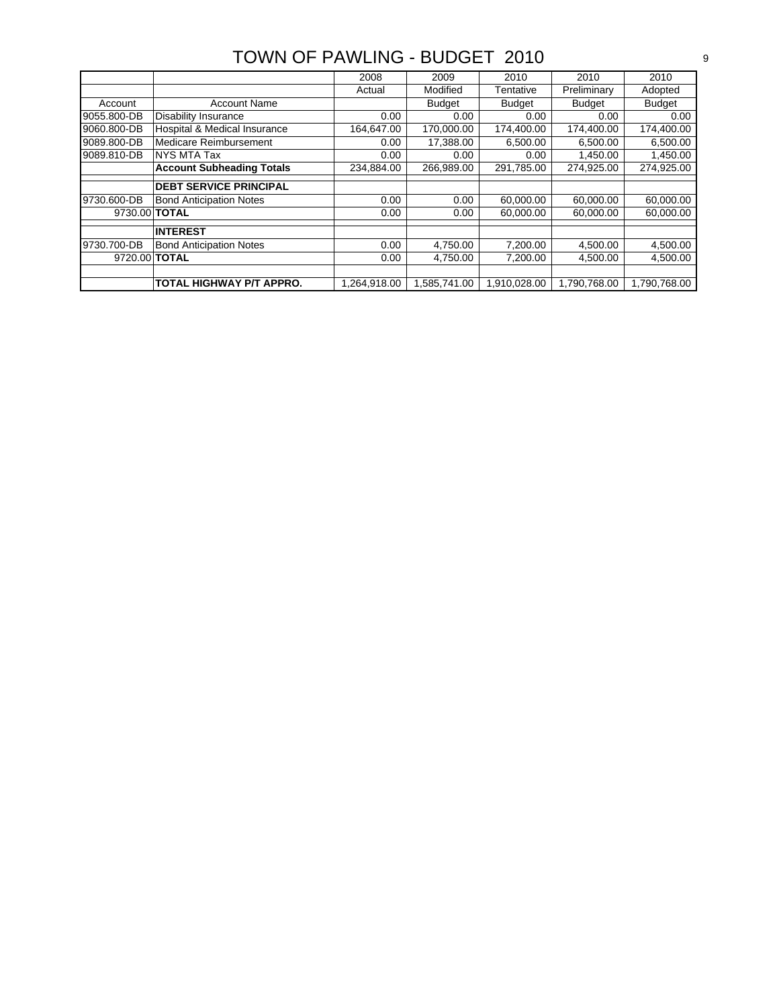|                      |                                  | 2008         | 2009          | 2010          | 2010          | 2010          |
|----------------------|----------------------------------|--------------|---------------|---------------|---------------|---------------|
|                      |                                  | Actual       | Modified      | Tentative     | Preliminary   | Adopted       |
| Account              | <b>Account Name</b>              |              | <b>Budget</b> | <b>Budget</b> | <b>Budget</b> | <b>Budget</b> |
| 9055.800-DB          | <b>Disability Insurance</b>      | 0.00         | 0.00          | 0.00          | 0.00          | 0.00          |
| 9060.800-DB          | Hospital & Medical Insurance     | 164.647.00   | 170,000.00    | 174,400.00    | 174,400.00    | 174,400.00    |
| 9089.800-DB          | Medicare Reimbursement           | 0.00         | 17,388.00     | 6.500.00      | 6,500.00      | 6,500.00      |
| 9089.810-DB          | NYS MTA Tax                      | 0.00         | 0.00          | 0.00          | 1,450.00      | 1,450.00      |
|                      | <b>Account Subheading Totals</b> | 234,884.00   | 266,989.00    | 291,785.00    | 274,925.00    | 274,925.00    |
|                      |                                  |              |               |               |               |               |
|                      | <b>DEBT SERVICE PRINCIPAL</b>    |              |               |               |               |               |
| 9730.600-DB          | <b>Bond Anticipation Notes</b>   | 0.00         | 0.00          | 60,000.00     | 60,000.00     | 60,000.00     |
| 9730.00 <b>TOTAL</b> |                                  | 0.00         | 0.00          | 60.000.00     | 60.000.00     | 60.000.00     |
|                      |                                  |              |               |               |               |               |
|                      | <b>INTEREST</b>                  |              |               |               |               |               |
| 9730.700-DB          | <b>Bond Anticipation Notes</b>   | 0.00         | 4,750.00      | 7,200.00      | 4,500.00      | 4,500.00      |
| 9720.00 <b>TOTAL</b> |                                  | 0.00         | 4.750.00      | 7.200.00      | 4.500.00      | 4.500.00      |
|                      |                                  |              |               |               |               |               |
|                      | TOTAL HIGHWAY P/T APPRO.         | 1.264.918.00 | 1,585,741.00  | 1.910.028.00  | 1,790,768.00  | 1,790,768.00  |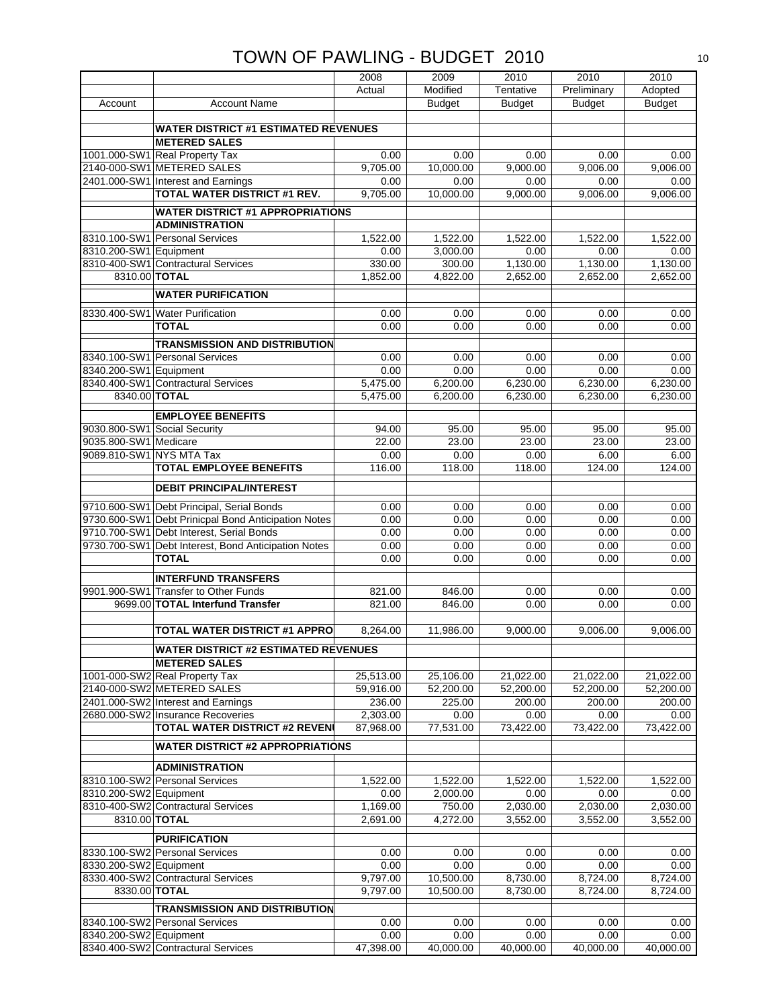|                              |                                                     | 2008      | 2009          | 2010          | 2010          | 2010          |
|------------------------------|-----------------------------------------------------|-----------|---------------|---------------|---------------|---------------|
|                              |                                                     | Actual    | Modified      | Tentative     | Preliminary   | Adopted       |
| Account                      | <b>Account Name</b>                                 |           | <b>Budget</b> | <b>Budget</b> | <b>Budget</b> | <b>Budget</b> |
|                              |                                                     |           |               |               |               |               |
|                              | <b>WATER DISTRICT #1 ESTIMATED REVENUES</b>         |           |               |               |               |               |
|                              | <b>METERED SALES</b>                                |           |               |               |               |               |
|                              | 1001.000-SW1 Real Property Tax                      | 0.00      | 0.00          | 0.00          | 0.00          | 0.00          |
|                              | 2140-000-SW1 METERED SALES                          | 9,705.00  | 10,000.00     | 9,000.00      | 9,006.00      | 9,006.00      |
|                              | 2401.000-SW1 Interest and Earnings                  | 0.00      | 0.00          | 0.00          | 0.00          | 0.00          |
|                              | <b>TOTAL WATER DISTRICT #1 REV.</b>                 | 9,705.00  | 10,000.00     | 9,000.00      | 9,006.00      | 9,006.00      |
|                              | <b>WATER DISTRICT #1 APPROPRIATIONS</b>             |           |               |               |               |               |
|                              | <b>ADMINISTRATION</b>                               |           |               |               |               |               |
|                              | 8310.100-SW1 Personal Services                      | 1,522.00  | 1,522.00      | 1,522.00      | 1,522.00      | 1,522.00      |
| 8310.200-SW1 Equipment       |                                                     | 0.00      | 3,000.00      | 0.00          | 0.00          | 0.00          |
|                              | 8310-400-SW1 Contractural Services                  | 330.00    | 300.00        | 1,130.00      | 1,130.00      | 1,130.00      |
| 8310.00 TOTAL                |                                                     | 1,852.00  | 4,822.00      | 2,652.00      | 2,652.00      | 2,652.00      |
|                              |                                                     |           |               |               |               |               |
|                              | <b>WATER PURIFICATION</b>                           |           |               |               |               |               |
|                              | 8330.400-SW1 Water Purification                     | 0.00      | 0.00          | 0.00          | 0.00          | 0.00          |
|                              | <b>TOTAL</b>                                        | 0.00      | 0.00          | 0.00          | 0.00          | 0.00          |
|                              | <b>TRANSMISSION AND DISTRIBUTION</b>                |           |               |               |               |               |
|                              | 8340.100-SW1 Personal Services                      | 0.00      | 0.00          | 0.00          | 0.00          | 0.00          |
| 8340.200-SW1 Equipment       |                                                     | 0.00      | 0.00          | 0.00          | 0.00          | 0.00          |
|                              | 8340.400-SW1 Contractural Services                  | 5,475.00  | 6,200.00      | 6,230.00      | 6,230.00      | 6,230.00      |
| 8340.00 TOTAL                |                                                     | 5.475.00  |               |               |               |               |
|                              |                                                     |           | 6,200.00      | 6,230.00      | 6,230.00      | 6,230.00      |
|                              | <b>EMPLOYEE BENEFITS</b>                            |           |               |               |               |               |
| 9030.800-SW1 Social Security |                                                     | 94.00     | 95.00         | 95.00         | 95.00         | 95.00         |
| 9035.800-SW1 Medicare        |                                                     | 22.00     | 23.00         | 23.00         | 23.00         | 23.00         |
| 9089.810-SW1 NYS MTA Tax     |                                                     | 0.00      | 0.00          | 0.00          | 6.00          | 6.00          |
|                              | <b>TOTAL EMPLOYEE BENEFITS</b>                      | 116.00    | 118.00        | 118.00        | 124.00        | 124.00        |
|                              |                                                     |           |               |               |               |               |
|                              | <b>DEBIT PRINCIPAL/INTEREST</b>                     |           |               |               |               |               |
|                              | 9710.600-SW1 Debt Principal, Serial Bonds           | 0.00      | 0.00          | 0.00          | 0.00          | 0.00          |
|                              | 9730.600-SW1 Debt Prinicpal Bond Anticipation Notes | 0.00      | 0.00          | 0.00          | 0.00          | 0.00          |
|                              | 9710.700-SW1 Debt Interest, Serial Bonds            | 0.00      | 0.00          | 0.00          | 0.00          | 0.00          |
|                              | 9730.700-SW1 Debt Interest, Bond Anticipation Notes | 0.00      | 0.00          | 0.00          | 0.00          | 0.00          |
|                              | <b>TOTAL</b>                                        | 0.00      | 0.00          | 0.00          | 0.00          | 0.00          |
|                              | <b>INTERFUND TRANSFERS</b>                          |           |               |               |               |               |
|                              | 9901.900-SW1 Transfer to Other Funds                | 821.00    | 846.00        | 0.00          | 0.00          |               |
|                              | 9699.00 TOTAL Interfund Transfer                    |           |               |               |               | 0.00          |
|                              |                                                     | 821.00    | 846.00        | 0.00          | 0.00          | 0.00          |
|                              | <b>TOTAL WATER DISTRICT #1 APPRO</b>                |           | 11,986.00     |               |               | 9,006.00      |
|                              |                                                     | 8,264.00  |               | 9,000.00      | 9,006.00      |               |
|                              | <b>WATER DISTRICT #2 ESTIMATED REVENUES</b>         |           |               |               |               |               |
|                              | <b>METERED SALES</b>                                |           |               |               |               |               |
|                              | 1001-000-SW2 Real Property Tax                      | 25,513.00 | 25,106.00     | 21,022.00     | 21,022.00     | 21,022.00     |
|                              | 2140-000-SW2 METERED SALES                          | 59,916.00 | 52,200.00     | 52,200.00     | 52,200.00     | 52,200.00     |
|                              | 2401.000-SW2 Interest and Earnings                  | 236.00    | 225.00        | 200.00        | 200.00        | 200.00        |
|                              | 2680.000-SW2 Insurance Recoveries                   | 2,303.00  | 0.00          | 0.00          | 0.00          | 0.00          |
|                              | <b>TOTAL WATER DISTRICT #2 REVEN</b>                | 87,968.00 | 77,531.00     | 73,422.00     | 73,422.00     | 73,422.00     |
|                              | <b>WATER DISTRICT #2 APPROPRIATIONS</b>             |           |               |               |               |               |
|                              |                                                     |           |               |               |               |               |
|                              | <b>ADMINISTRATION</b>                               |           |               |               |               |               |
|                              | 8310.100-SW2 Personal Services                      | 1,522.00  | 1,522.00      | 1,522.00      | 1,522.00      | 1,522.00      |
| 8310.200-SW2 Equipment       |                                                     | 0.00      | 2,000.00      | 0.00          | 0.00          | 0.00          |
|                              | 8310-400-SW2 Contractural Services                  | 1,169.00  | 750.00        | 2,030.00      | 2,030.00      | 2,030.00      |
| 8310.00 TOTAL                |                                                     | 2,691.00  | 4,272.00      | 3,552.00      | 3,552.00      | 3,552.00      |
|                              |                                                     |           |               |               |               |               |
|                              | <b>PURIFICATION</b>                                 |           |               |               |               |               |
|                              | 8330.100-SW2 Personal Services                      | 0.00      | 0.00          | 0.00          | 0.00          | 0.00          |
| 8330.200-SW2 Equipment       |                                                     | 0.00      | 0.00          | 0.00          | 0.00          | 0.00          |
|                              | 8330.400-SW2 Contractural Services                  | 9,797.00  | 10,500.00     | 8,730.00      | 8,724.00      | 8,724.00      |
| 8330.00 TOTAL                |                                                     | 9,797.00  | 10,500.00     | 8,730.00      | 8,724.00      | 8,724.00      |
|                              | <b>TRANSMISSION AND DISTRIBUTION</b>                |           |               |               |               |               |
|                              | 8340.100-SW2 Personal Services                      | 0.00      | 0.00          | 0.00          | 0.00          | 0.00          |
| 8340.200-SW2 Equipment       |                                                     | 0.00      | 0.00          | 0.00          | 0.00          | 0.00          |
|                              | 8340.400-SW2 Contractural Services                  | 47,398.00 | 40,000.00     | 40,000.00     | 40,000.00     | 40,000.00     |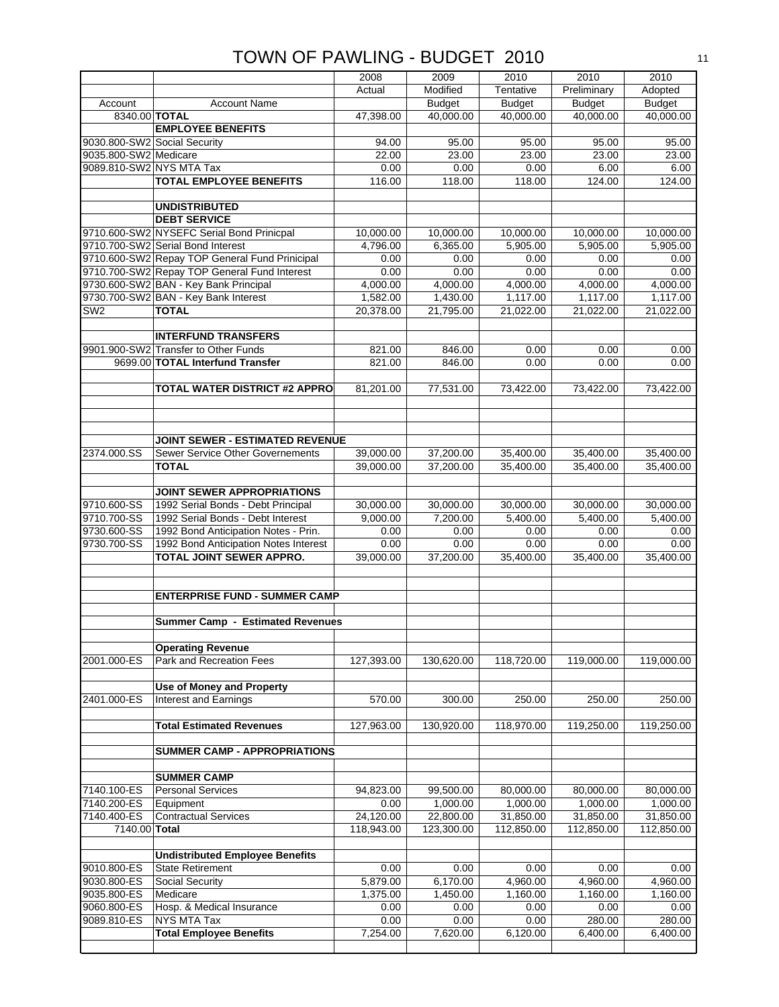|                              |                                                      | 2008                    | 2009                    | 2010                    | 2010                    | 2010                    |
|------------------------------|------------------------------------------------------|-------------------------|-------------------------|-------------------------|-------------------------|-------------------------|
|                              |                                                      | Actual                  | Modified                | Tentative               | Preliminary             | Adopted                 |
| Account                      | <b>Account Name</b>                                  |                         | <b>Budget</b>           | <b>Budget</b>           | <b>Budget</b>           | <b>Budget</b>           |
| 8340.00 TOTAL                |                                                      | 47,398.00               | 40,000.00               | 40,000.00               | 40,000.00               | 40,000.00               |
|                              | <b>EMPLOYEE BENEFITS</b>                             |                         |                         |                         |                         |                         |
| 9030.800-SW2 Social Security |                                                      | 94.00                   | 95.00                   | 95.00                   | 95.00                   | 95.00                   |
| 9035.800-SW2 Medicare        |                                                      | 22.00                   | 23.00                   | 23.00                   | 23.00                   | 23.00                   |
| 9089.810-SW2 NYS MTA Tax     |                                                      | 0.00                    | 0.00                    | 0.00                    | 6.00                    | 6.00                    |
|                              | <b>TOTAL EMPLOYEE BENEFITS</b>                       | 116.00                  | 118.00                  | 118.00                  | 124.00                  | 124.00                  |
|                              | <b>UNDISTRIBUTED</b>                                 |                         |                         |                         |                         |                         |
|                              | <b>DEBT SERVICE</b>                                  |                         |                         |                         |                         |                         |
|                              | 9710.600-SW2 NYSEFC Serial Bond Prinicpal            | 10,000.00               | 10,000.00               | 10,000.00               | 10,000.00               | 10,000.00               |
|                              | 9710.700-SW2 Serial Bond Interest                    | 4,796.00                | 6,365.00                | 5,905.00                | 5,905.00                | 5,905.00                |
|                              | 9710.600-SW2 Repay TOP General Fund Prinicipal       | 0.00                    | 0.00                    | 0.00                    | 0.00                    | 0.00                    |
|                              | 9710.700-SW2 Repay TOP General Fund Interest         | 0.00                    | 0.00                    | 0.00                    | 0.00                    | 0.00                    |
|                              | 9730.600-SW2 BAN - Key Bank Principal                | 4,000.00                | 4,000.00                | 4,000.00                | 4,000.00                | 4,000.00                |
|                              | 9730.700-SW2 BAN - Key Bank Interest                 | 1,582.00                | 1,430.00                | 1,117.00                | 1,117.00                | 1,117.00                |
| SW <sub>2</sub>              | <b>TOTAL</b>                                         | 20,378.00               | 21,795.00               | 21,022.00               | 21,022.00               | 21,022.00               |
|                              |                                                      |                         |                         |                         |                         |                         |
|                              | <b>INTERFUND TRANSFERS</b>                           |                         |                         |                         |                         |                         |
|                              | 9901.900-SW2 Transfer to Other Funds                 | 821.00                  | 846.00                  | 0.00                    | 0.00                    | 0.00                    |
|                              | 9699.00 TOTAL Interfund Transfer                     | 821.00                  | 846.00                  | 0.00                    | 0.00                    | 0.00                    |
|                              |                                                      |                         |                         |                         |                         |                         |
|                              | <b>TOTAL WATER DISTRICT #2 APPRO</b>                 | 81,201.00               | 77,531.00               | 73,422.00               | 73,422.00               | 73,422.00               |
|                              |                                                      |                         |                         |                         |                         |                         |
|                              |                                                      |                         |                         |                         |                         |                         |
|                              | <b>JOINT SEWER - ESTIMATED REVENUE</b>               |                         |                         |                         |                         |                         |
| 2374.000.SS                  | <b>Sewer Service Other Governements</b>              | 39,000.00               | 37,200.00               | 35,400.00               | 35,400.00               | 35,400.00               |
|                              | <b>TOTAL</b>                                         | 39,000.00               | 37,200.00               | 35,400.00               | 35,400.00               | 35,400.00               |
|                              |                                                      |                         |                         |                         |                         |                         |
|                              | JOINT SEWER APPROPRIATIONS                           |                         |                         |                         |                         |                         |
| 9710.600-SS                  | 1992 Serial Bonds - Debt Principal                   | 30,000.00               | 30,000.00               | 30,000.00               | 30,000.00               | 30,000.00               |
| 9710.700-SS                  | 1992 Serial Bonds - Debt Interest                    | 9,000.00                | 7,200.00                | 5,400.00                | 5,400.00                | 5,400.00                |
|                              |                                                      |                         |                         |                         |                         |                         |
| 9730.600-SS                  | 1992 Bond Anticipation Notes - Prin.                 | 0.00                    | 0.00                    | 0.00                    | 0.00                    | 0.00                    |
| 9730.700-SS                  | 1992 Bond Anticipation Notes Interest                | 0.00                    | 0.00                    | 0.00                    | 0.00                    | 0.00                    |
|                              | TOTAL JOINT SEWER APPRO.                             | 39,000.00               | 37,200.00               | 35,400.00               | 35,400.00               | 35,400.00               |
|                              |                                                      |                         |                         |                         |                         |                         |
|                              |                                                      |                         |                         |                         |                         |                         |
|                              | <b>ENTERPRISE FUND - SUMMER CAMP</b>                 |                         |                         |                         |                         |                         |
|                              |                                                      |                         |                         |                         |                         |                         |
|                              | Summer Camp - Estimated Revenues                     |                         |                         |                         |                         |                         |
|                              |                                                      |                         |                         |                         |                         |                         |
| 2001.000-ES                  | <b>Operating Revenue</b><br>Park and Recreation Fees | 127,393.00              | 130,620.00              | 118,720.00              | 119,000.00              | 119,000.00              |
|                              |                                                      |                         |                         |                         |                         |                         |
|                              | <b>Use of Money and Property</b>                     |                         |                         |                         |                         |                         |
| 2401.000-ES                  | <b>Interest and Earnings</b>                         | 570.00                  | 300.00                  | 250.00                  | 250.00                  | 250.00                  |
|                              |                                                      |                         |                         |                         |                         |                         |
|                              | <b>Total Estimated Revenues</b>                      | 127,963.00              | 130,920.00              | 118,970.00              | 119,250.00              | 119,250.00              |
|                              |                                                      |                         |                         |                         |                         |                         |
|                              | <b>SUMMER CAMP - APPROPRIATIONS</b>                  |                         |                         |                         |                         |                         |
|                              |                                                      |                         |                         |                         |                         |                         |
|                              | <b>SUMMER CAMP</b>                                   |                         |                         |                         |                         |                         |
| 7140.100-ES                  | <b>Personal Services</b>                             | 94,823.00               | 99,500.00               | 80,000.00               | 80,000.00               | 80,000.00               |
| 7140.200-ES                  | Equipment                                            | 0.00                    | 1,000.00                | 1,000.00                | 1,000.00                | 1,000.00                |
| 7140.400-ES<br>7140.00 Total | <b>Contractual Services</b>                          | 24,120.00<br>118,943.00 | 22,800.00<br>123,300.00 | 31,850.00<br>112,850.00 | 31,850.00<br>112,850.00 | 31,850.00<br>112,850.00 |
|                              |                                                      |                         |                         |                         |                         |                         |
|                              | <b>Undistributed Employee Benefits</b>               |                         |                         |                         |                         |                         |
| 9010.800-ES                  | <b>State Retirement</b>                              | 0.00                    | 0.00                    | 0.00                    | 0.00                    | 0.00                    |
| 9030.800-ES                  | Social Security                                      | 5,879.00                | 6,170.00                | 4,960.00                | 4,960.00                | 4,960.00                |
| 9035.800-ES                  | Medicare                                             | 1,375.00                | 1,450.00                | 1,160.00                | 1,160.00                | 1,160.00                |
| 9060.800-ES                  | Hosp. & Medical Insurance                            | 0.00                    | 0.00                    | 0.00                    | 0.00                    | 0.00                    |
| 9089.810-ES                  | NYS MTA Tax                                          | 0.00                    | 0.00                    | 0.00                    | 280.00                  | 280.00                  |
|                              | <b>Total Employee Benefits</b>                       | 7,254.00                | 7,620.00                | 6,120.00                | 6,400.00                | 6,400.00                |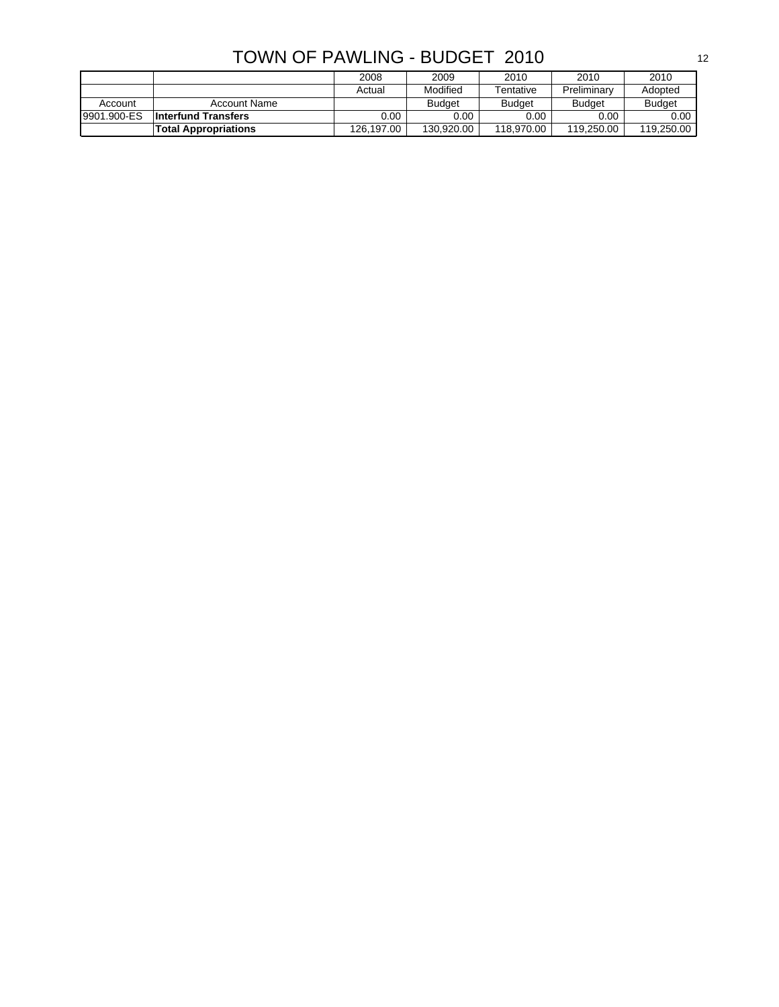| TOWN OF PAWLING - BUDGET 2010 |
|-------------------------------|
|-------------------------------|

|             |                             | 2008       | 2009          | 2010          | 2010          | 2010          |
|-------------|-----------------------------|------------|---------------|---------------|---------------|---------------|
|             |                             | Actual     | Modified      | Tentative     | Preliminary   | Adopted       |
| Account     | Account Name                |            | <b>Budget</b> | <b>Budget</b> | <b>Budget</b> | <b>Budget</b> |
| 9901.900-ES | <b>Interfund Transfers</b>  | $0.00\,$   | 0.00          | 0.00          | 0.00          | 0.00          |
|             | <b>Total Appropriations</b> | 126.197.00 | 130.920.00    | 118.970.00    | 119.250.00    | 119.250.00    |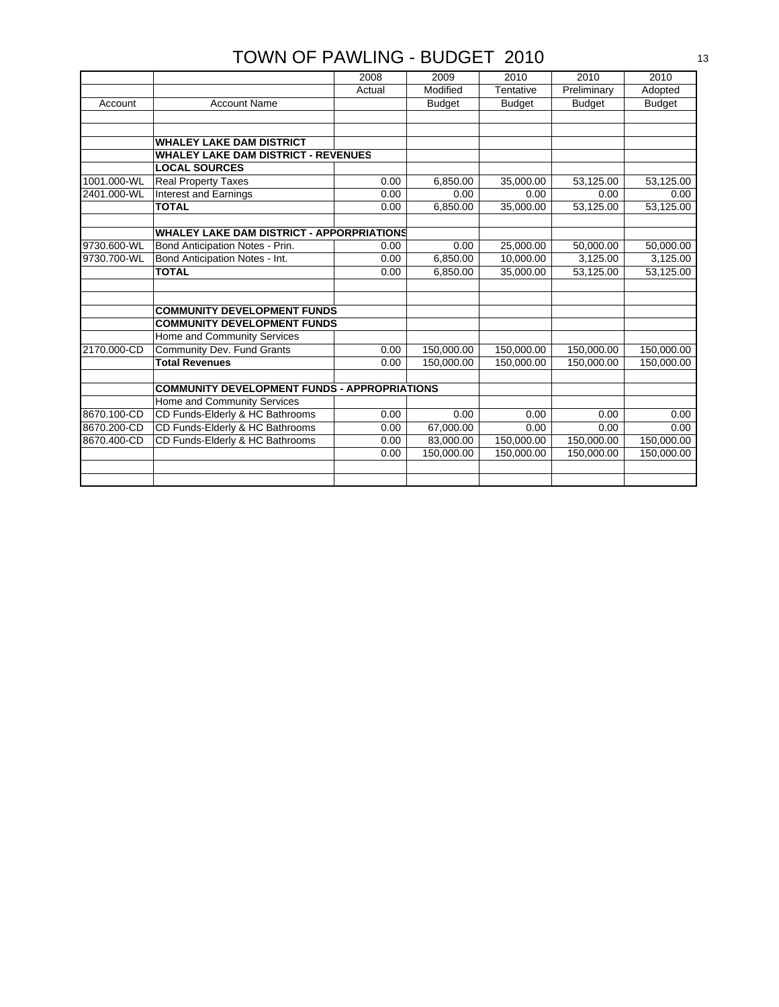|             |                                                     | 2008   | 2009          | 2010          | 2010          | 2010          |
|-------------|-----------------------------------------------------|--------|---------------|---------------|---------------|---------------|
|             |                                                     | Actual | Modified      | Tentative     | Preliminary   | Adopted       |
| Account     | <b>Account Name</b>                                 |        | <b>Budget</b> | <b>Budget</b> | <b>Budget</b> | <b>Budget</b> |
|             |                                                     |        |               |               |               |               |
|             |                                                     |        |               |               |               |               |
|             | <b>WHALEY LAKE DAM DISTRICT</b>                     |        |               |               |               |               |
|             | <b>WHALEY LAKE DAM DISTRICT - REVENUES</b>          |        |               |               |               |               |
|             | <b>LOCAL SOURCES</b>                                |        |               |               |               |               |
| 1001.000-WL | <b>Real Property Taxes</b>                          | 0.00   | 6,850.00      | 35,000.00     | 53,125.00     | 53,125.00     |
| 2401.000-WL | <b>Interest and Earnings</b>                        | 0.00   | 0.00          | 0.00          | 0.00          | 0.00          |
|             | <b>TOTAL</b>                                        | 0.00   | 6,850.00      | 35,000.00     | 53,125.00     | 53,125.00     |
|             |                                                     |        |               |               |               |               |
|             | <b>WHALEY LAKE DAM DISTRICT - APPORPRIATIONS</b>    |        |               |               |               |               |
| 9730.600-WL | Bond Anticipation Notes - Prin.                     | 0.00   | 0.00          | 25,000.00     | 50,000.00     | 50,000.00     |
| 9730.700-WL | Bond Anticipation Notes - Int.                      | 0.00   | 6,850.00      | 10,000.00     | 3,125.00      | 3,125.00      |
|             | <b>TOTAL</b>                                        | 0.00   | 6,850.00      | 35,000.00     | 53,125.00     | 53,125.00     |
|             |                                                     |        |               |               |               |               |
|             |                                                     |        |               |               |               |               |
|             | <b>COMMUNITY DEVELOPMENT FUNDS</b>                  |        |               |               |               |               |
|             | <b>COMMUNITY DEVELOPMENT FUNDS</b>                  |        |               |               |               |               |
|             | Home and Community Services                         |        |               |               |               |               |
| 2170.000-CD | Community Dev. Fund Grants                          | 0.00   | 150,000.00    | 150,000.00    | 150,000.00    | 150,000.00    |
|             | <b>Total Revenues</b>                               | 0.00   | 150,000.00    | 150.000.00    | 150,000.00    | 150,000.00    |
|             |                                                     |        |               |               |               |               |
|             | <b>COMMUNITY DEVELOPMENT FUNDS - APPROPRIATIONS</b> |        |               |               |               |               |
|             | Home and Community Services                         |        |               |               |               |               |
| 8670.100-CD | CD Funds-Elderly & HC Bathrooms                     | 0.00   | 0.00          | 0.00          | 0.00          | 0.00          |
| 8670.200-CD | CD Funds-Elderly & HC Bathrooms                     | 0.00   | 67,000.00     | 0.00          | 0.00          | 0.00          |
| 8670.400-CD | CD Funds-Elderly & HC Bathrooms                     | 0.00   | 83,000.00     | 150,000.00    | 150,000.00    | 150,000.00    |
|             |                                                     | 0.00   | 150,000.00    | 150,000.00    | 150,000.00    | 150,000.00    |
|             |                                                     |        |               |               |               |               |
|             |                                                     |        |               |               |               |               |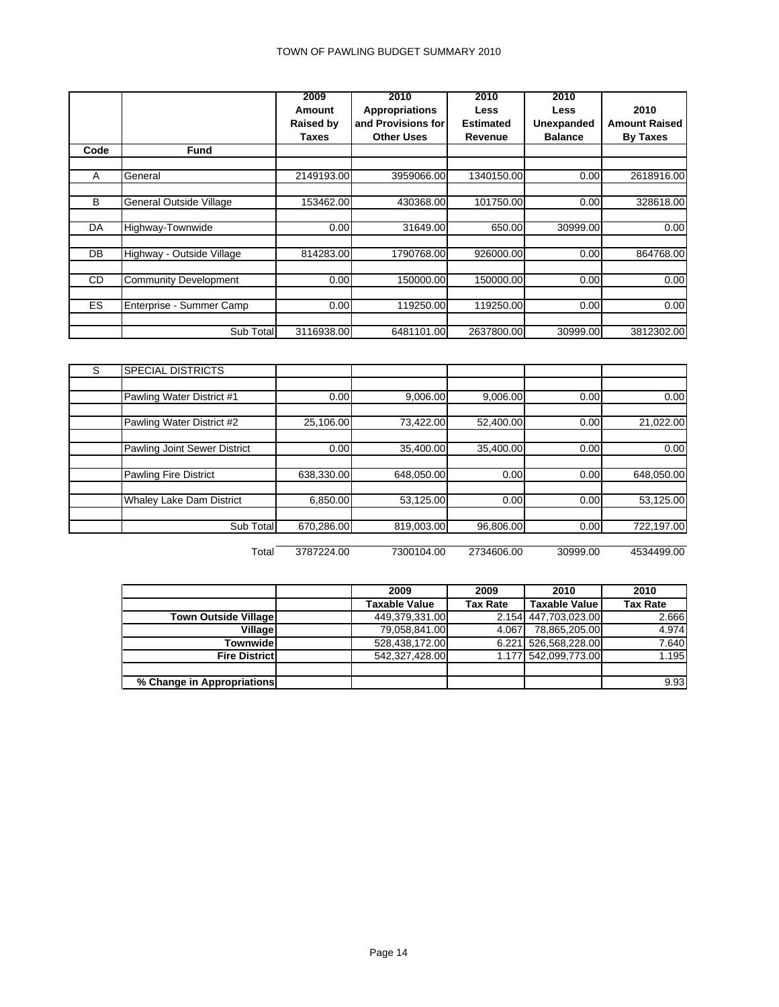|           |                              | 2009             | 2010                  | 2010             | 2010              |                      |
|-----------|------------------------------|------------------|-----------------------|------------------|-------------------|----------------------|
|           |                              | Amount           | <b>Appropriations</b> | <b>Less</b>      | Less              | 2010                 |
|           |                              | <b>Raised by</b> | and Provisions for    | <b>Estimated</b> | <b>Unexpanded</b> | <b>Amount Raised</b> |
|           |                              | Taxes            | <b>Other Uses</b>     | Revenue          | <b>Balance</b>    | <b>By Taxes</b>      |
| Code      | <b>Fund</b>                  |                  |                       |                  |                   |                      |
|           |                              |                  |                       |                  |                   |                      |
| A         | General                      | 2149193.00       | 3959066.00            | 1340150.00       | 0.00              | 2618916.00           |
|           |                              |                  |                       |                  |                   |                      |
| B         | General Outside Village      | 153462.00        | 430368.00             | 101750.00        | 0.00              | 328618.00            |
|           |                              |                  |                       |                  |                   |                      |
| DA        | Highway-Townwide             | 0.00             | 31649.00              | 650.00           | 30999.00          | 0.00                 |
|           |                              |                  |                       |                  |                   |                      |
| DB        | Highway - Outside Village    | 814283.00        | 1790768.00            | 926000.00        | 0.00              | 864768.00            |
|           |                              |                  |                       |                  |                   |                      |
| <b>CD</b> | <b>Community Development</b> | 0.00             | 150000.00             | 150000.00        | 0.00              | 0.00                 |
|           |                              |                  |                       |                  |                   |                      |
| <b>ES</b> | Enterprise - Summer Camp     | 0.00             | 119250.00             | 119250.00        | 0.00              | 0.00                 |
|           |                              |                  |                       |                  |                   |                      |
|           | Sub Total                    | 3116938.00       | 6481101.00            | 2637800.00       | 30999.00          | 3812302.00           |

| S | <b>SPECIAL DISTRICTS</b>     |            |            |           |      |            |
|---|------------------------------|------------|------------|-----------|------|------------|
|   |                              |            |            |           |      |            |
|   | Pawling Water District #1    | 0.00       | 9,006.00   | 9,006.00  | 0.00 | 0.00       |
|   |                              |            |            |           |      |            |
|   | Pawling Water District #2    | 25,106.00  | 73,422.00  | 52,400.00 | 0.00 | 21,022.00  |
|   |                              |            |            |           |      |            |
|   | Pawling Joint Sewer District | 0.00       | 35,400.00  | 35,400.00 | 0.00 | 0.00       |
|   |                              |            |            |           |      |            |
|   | Pawling Fire District        | 638,330.00 | 648,050.00 | 0.00      | 0.00 | 648,050.00 |
|   |                              |            |            |           |      |            |
|   | Whaley Lake Dam District     | 6,850.00   | 53,125.00  | 0.00      | 0.00 | 53,125.00  |
|   |                              |            |            |           |      |            |
|   | Sub Total                    | 670,286.00 | 819,003.00 | 96,806.00 | 0.00 | 722,197.00 |

Total 3787224.00 7300104.00 2734606.00 30999.00 4534499.00

|                             | 2009                 | 2009            | 2010                 | 2010            |
|-----------------------------|----------------------|-----------------|----------------------|-----------------|
|                             | <b>Taxable Value</b> | <b>Tax Rate</b> | <b>Taxable Value</b> | <b>Tax Rate</b> |
| <b>Town Outside Village</b> | 449,379,331.00       |                 | 2.154 447,703,023.00 | 2.666           |
| Village                     | 79,058,841.00        | 4.067           | 78,865,205.00        | 4.974           |
| Townwide                    | 528,438,172.00       |                 | 6.221 526,568,228.00 | 7.640           |
| <b>Fire District</b>        | 542,327,428.00       |                 | 1.177 542,099,773.00 | 1.195           |
|                             |                      |                 |                      |                 |
| % Change in Appropriations  |                      |                 |                      | 9.93            |